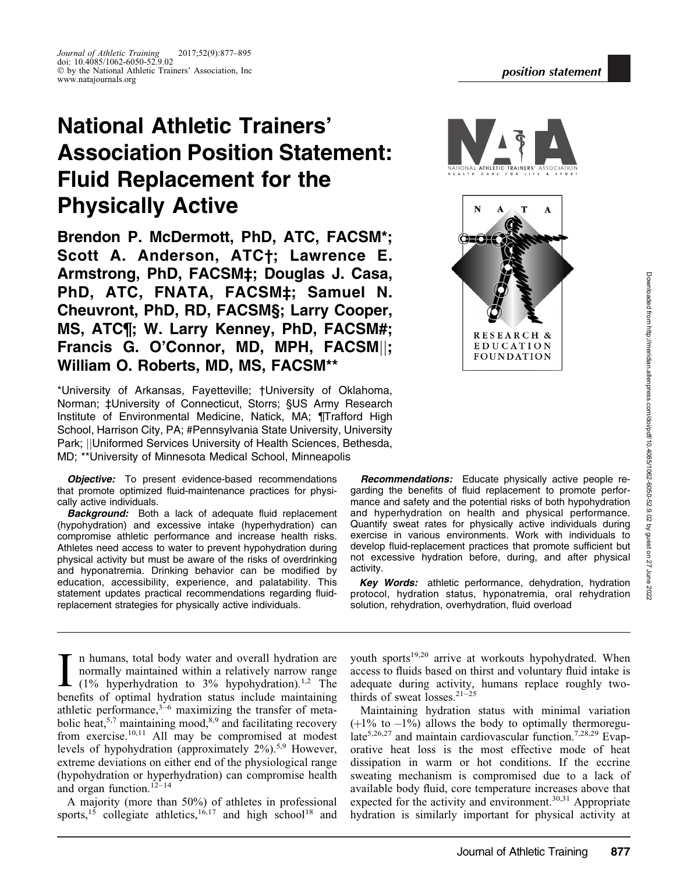# National Athletic Trainers' Association Position Statement: Fluid Replacement for the Physically Active

Brendon P. McDermott, PhD, ATC, FACSM\*; Scott A. Anderson, ATC†; Lawrence E. Armstrong, PhD, FACSM‡; Douglas J. Casa, PhD, ATC, FNATA, FACSM‡; Samuel N. Cheuvront, PhD, RD, FACSM§; Larry Cooper, MS, ATC¶; W. Larry Kenney, PhD, FACSM#; Francis G. O'Connor, MD, MPH, FACSMjj; William O. Roberts, MD, MS, FACSM\*\*

\*University of Arkansas, Fayetteville; †University of Oklahoma, Norman; ‡University of Connecticut, Storrs; §US Army Research Institute of Environmental Medicine, Natick, MA; ¶Trafford High School, Harrison City, PA; #Pennsylvania State University, University Park; ||Uniformed Services University of Health Sciences, Bethesda, MD; \*\*University of Minnesota Medical School, Minneapolis

**Objective:** To present evidence-based recommendations that promote optimized fluid-maintenance practices for physically active individuals.

**Background:** Both a lack of adequate fluid replacement (hypohydration) and excessive intake (hyperhydration) can compromise athletic performance and increase health risks. Athletes need access to water to prevent hypohydration during physical activity but must be aware of the risks of overdrinking and hyponatremia. Drinking behavior can be modified by education, accessibility, experience, and palatability. This statement updates practical recommendations regarding fluidreplacement strategies for physically active individuals.

In humans, total body water and overall hydration are normally maintained within a relatively narrow range  $(1\%$  hyperhydration to 3% hypohydration).<sup>1,2</sup> The benefits of optimal hydration status include maintaining n humans, total body water and overall hydration are normally maintained within a relatively narrow range (1% hyperhydration to 3% hypohydration).<sup>1,2</sup> The athletic performance, $3-6$  maximizing the transfer of metabolic heat,<sup>5,7</sup> maintaining mood, $8,9$  and facilitating recovery from exercise.10,11 All may be compromised at modest levels of hypohydration (approximately 2%).<sup>5,9</sup> However, extreme deviations on either end of the physiological range (hypohydration or hyperhydration) can compromise health and organ function.<sup>12-14</sup>

A majority (more than 50%) of athletes in professional sports,<sup>15</sup> collegiate athletics,<sup>16,17</sup> and high school<sup>18</sup> and youth sports<sup>19,20</sup> arrive at workouts hypohydrated. When access to fluids based on thirst and voluntary fluid intake is adequate during activity, humans replace roughly twothirds of sweat losses. $21-25$ 

Key Words: athletic performance, dehydration, hydration protocol, hydration status, hyponatremia, oral rehydration

solution, rehydration, overhydration, fluid overload

activity.

Recommendations: Educate physically active people regarding the benefits of fluid replacement to promote performance and safety and the potential risks of both hypohydration and hyperhydration on health and physical performance. Quantify sweat rates for physically active individuals during exercise in various environments. Work with individuals to develop fluid-replacement practices that promote sufficient but not excessive hydration before, during, and after physical

Maintaining hydration status with minimal variation  $(+1\% \text{ to } -1\%)$  allows the body to optimally thermoregulate<sup>5,26,27</sup> and maintain cardiovascular function.<sup>7,28,29</sup> Evaporative heat loss is the most effective mode of heat dissipation in warm or hot conditions. If the eccrine sweating mechanism is compromised due to a lack of available body fluid, core temperature increases above that expected for the activity and environment. $30,31$  Appropriate hydration is similarly important for physical activity at

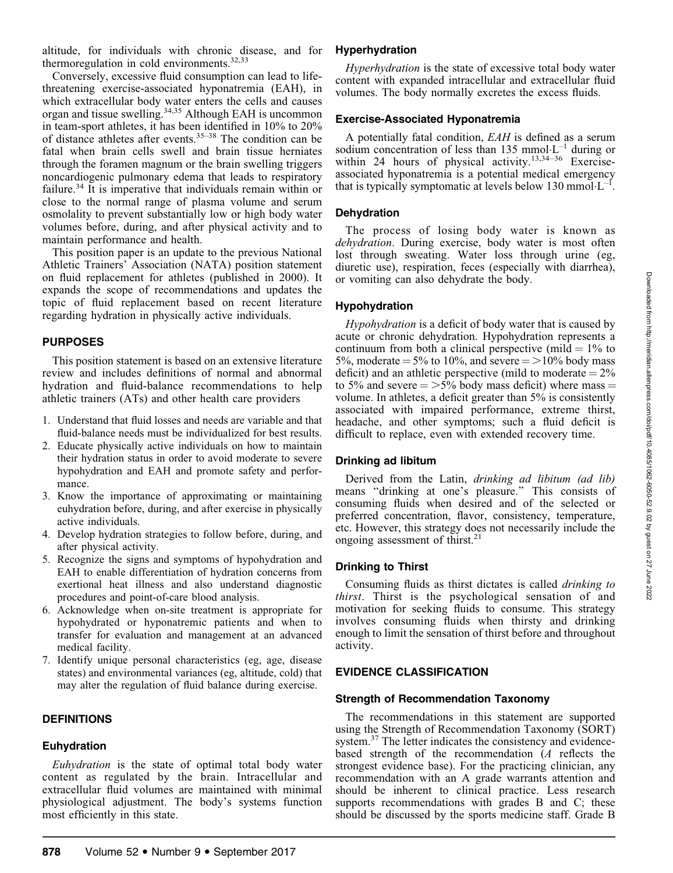altitude, for individuals with chronic disease, and for thermoregulation in cold environments.<sup>32,33</sup>

Conversely, excessive fluid consumption can lead to lifethreatening exercise-associated hyponatremia (EAH), in which extracellular body water enters the cells and causes organ and tissue swelling.34,35 Although EAH is uncommon in team-sport athletes, it has been identified in 10% to 20% of distance athletes after events.<sup>35–38</sup> The condition can be fatal when brain cells swell and brain tissue herniates through the foramen magnum or the brain swelling triggers noncardiogenic pulmonary edema that leads to respiratory failure.<sup>34</sup> It is imperative that individuals remain within or close to the normal range of plasma volume and serum osmolality to prevent substantially low or high body water volumes before, during, and after physical activity and to maintain performance and health.

This position paper is an update to the previous National Athletic Trainers' Association (NATA) position statement on fluid replacement for athletes (published in 2000). It expands the scope of recommendations and updates the topic of fluid replacement based on recent literature regarding hydration in physically active individuals.

#### PURPOSES

This position statement is based on an extensive literature review and includes definitions of normal and abnormal hydration and fluid-balance recommendations to help athletic trainers (ATs) and other health care providers

- 1. Understand that fluid losses and needs are variable and that fluid-balance needs must be individualized for best results.
- 2. Educate physically active individuals on how to maintain their hydration status in order to avoid moderate to severe hypohydration and EAH and promote safety and performance.
- 3. Know the importance of approximating or maintaining euhydration before, during, and after exercise in physically active individuals.
- 4. Develop hydration strategies to follow before, during, and after physical activity.
- 5. Recognize the signs and symptoms of hypohydration and EAH to enable differentiation of hydration concerns from exertional heat illness and also understand diagnostic procedures and point-of-care blood analysis.
- 6. Acknowledge when on-site treatment is appropriate for hypohydrated or hyponatremic patients and when to transfer for evaluation and management at an advanced medical facility.
- 7. Identify unique personal characteristics (eg, age, disease states) and environmental variances (eg, altitude, cold) that may alter the regulation of fluid balance during exercise.

#### DEFINITIONS

#### Euhydration

Euhydration is the state of optimal total body water content as regulated by the brain. Intracellular and extracellular fluid volumes are maintained with minimal physiological adjustment. The body's systems function most efficiently in this state.

## Hyperhydration

Hyperhydration is the state of excessive total body water content with expanded intracellular and extracellular fluid volumes. The body normally excretes the excess fluids.

#### Exercise-Associated Hyponatremia

A potentially fatal condition, EAH is defined as a serum sodium concentration of less than 135 mmol $\cdot$ L<sup>-1</sup> during or within 24 hours of physical activity.<sup>13,34-36</sup> Exerciseassociated hyponatremia is a potential medical emergency that is typically symptomatic at levels below 130 mmol $L^{-1}$ .

#### Dehydration

The process of losing body water is known as dehydration. During exercise, body water is most often lost through sweating. Water loss through urine (eg, diuretic use), respiration, feces (especially with diarrhea), or vomiting can also dehydrate the body.

#### Hypohydration

Hypohydration is a deficit of body water that is caused by acute or chronic dehydration. Hypohydration represents a continuum from both a clinical perspective (mild  $= 1\%$  to 5%, moderate  $=$  5% to 10%, and severe  $=$  >10% body mass deficit) and an athletic perspective (mild to moderate  $= 2\%$ to 5% and severe  $=$  >5% body mass deficit) where mass  $=$ volume. In athletes, a deficit greater than 5% is consistently associated with impaired performance, extreme thirst, headache, and other symptoms; such a fluid deficit is difficult to replace, even with extended recovery time.

#### Drinking ad libitum

Derived from the Latin, drinking ad libitum (ad lib) means ''drinking at one's pleasure.'' This consists of consuming fluids when desired and of the selected or preferred concentration, flavor, consistency, temperature, etc. However, this strategy does not necessarily include the ongoing assessment of thirst.21

#### Drinking to Thirst

Consuming fluids as thirst dictates is called drinking to thirst. Thirst is the psychological sensation of and motivation for seeking fluids to consume. This strategy involves consuming fluids when thirsty and drinking enough to limit the sensation of thirst before and throughout activity.

## EVIDENCE CLASSIFICATION

#### Strength of Recommendation Taxonomy

The recommendations in this statement are supported using the Strength of Recommendation Taxonomy (SORT) system.<sup>37</sup> The letter indicates the consistency and evidencebased strength of the recommendation (A reflects the strongest evidence base). For the practicing clinician, any recommendation with an A grade warrants attention and should be inherent to clinical practice. Less research supports recommendations with grades B and C; these should be discussed by the sports medicine staff. Grade B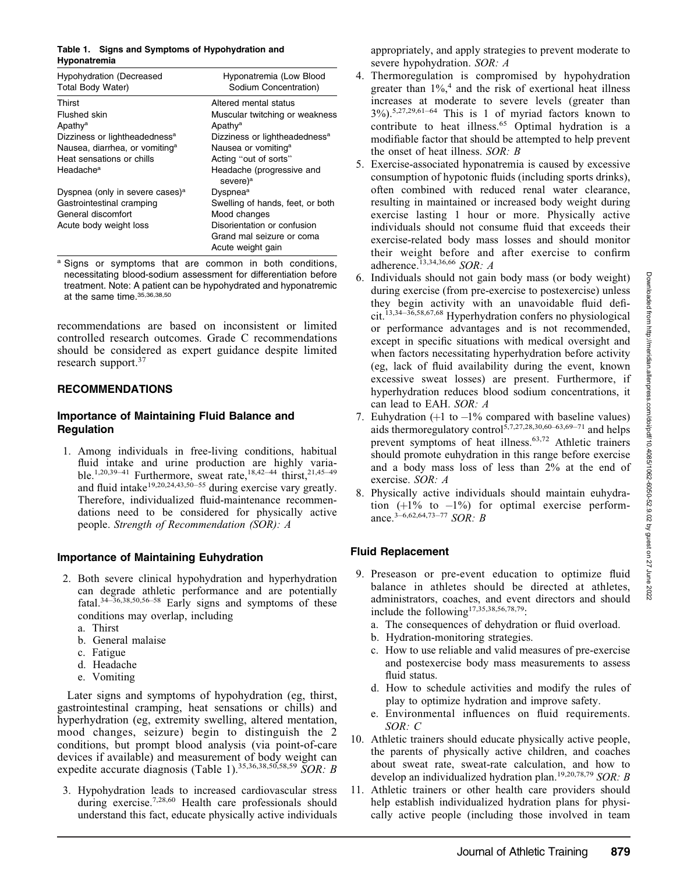#### Table 1. Signs and Symptoms of Hypohydration and Hyponatremia

| <b>Hypohydration (Decreased</b><br>Total Body Water) | Hyponatremia (Low Blood<br>Sodium Concentration)  |
|------------------------------------------------------|---------------------------------------------------|
| Thirst                                               | Altered mental status                             |
| Flushed skin                                         | Muscular twitching or weakness                    |
| Apathy <sup>a</sup>                                  | Apathy <sup>a</sup>                               |
| Dizziness or lightheadedness <sup>a</sup>            | Dizziness or lightheadedness <sup>a</sup>         |
| Nausea, diarrhea, or vomiting <sup>a</sup>           | Nausea or vomiting <sup>a</sup>                   |
| Heat sensations or chills                            | Acting "out of sorts"                             |
| Headache <sup>a</sup>                                | Headache (progressive and<br>severe) <sup>a</sup> |
| Dyspnea (only in severe cases) <sup>a</sup>          | Dyspnea <sup>a</sup>                              |
| Gastrointestinal cramping                            | Swelling of hands, feet, or both                  |
| General discomfort                                   | Mood changes                                      |
| Acute body weight loss                               | Disorientation or confusion                       |
|                                                      | Grand mal seizure or coma                         |
|                                                      | Acute weight gain                                 |

a Signs or symptoms that are common in both conditions, necessitating blood-sodium assessment for differentiation before treatment. Note: A patient can be hypohydrated and hyponatremic at the same time. 35,36,38,50

recommendations are based on inconsistent or limited controlled research outcomes. Grade C recommendations should be considered as expert guidance despite limited research support.<sup>37</sup>

## RECOMMENDATIONS

## Importance of Maintaining Fluid Balance and **Regulation**

1. Among individuals in free-living conditions, habitual fluid intake and urine production are highly variable.<sup>1,20,39–41</sup> Furthermore, sweat rate,<sup>18,42–44</sup> thirst,<sup>21,45–49</sup> and fluid intake<sup>19,20,24,43,50–55</sup> during exercise vary greatly. Therefore, individualized fluid-maintenance recommendations need to be considered for physically active people. Strength of Recommendation (SOR): A

## Importance of Maintaining Euhydration

- 2. Both severe clinical hypohydration and hyperhydration can degrade athletic performance and are potentially fatal.<sup>34-36,38,50,56-58</sup> Early signs and symptoms of these conditions may overlap, including
	- a. Thirst
	- b. General malaise
	- c. Fatigue
	- d. Headache
	- e. Vomiting

Later signs and symptoms of hypohydration (eg, thirst, gastrointestinal cramping, heat sensations or chills) and hyperhydration (eg, extremity swelling, altered mentation, mood changes, seizure) begin to distinguish the 2 conditions, but prompt blood analysis (via point-of-care devices if available) and measurement of body weight can expedite accurate diagnosis (Table 1).<sup>35,36,38,50,58,59</sup> SOR: B

3. Hypohydration leads to increased cardiovascular stress during exercise.<sup>7,28,60</sup> Health care professionals should understand this fact, educate physically active individuals appropriately, and apply strategies to prevent moderate to severe hypohydration. SOR: A

- 4. Thermoregulation is compromised by hypohydration greater than  $1\%,$ <sup>4</sup> and the risk of exertional heat illness increases at moderate to severe levels (greater than 3%).5,27,29,61-<sup>64</sup> This is 1 of myriad factors known to contribute to heat illness.<sup>65</sup> Optimal hydration is a modifiable factor that should be attempted to help prevent the onset of heat illness. SOR: B
- 5. Exercise-associated hyponatremia is caused by excessive consumption of hypotonic fluids (including sports drinks), often combined with reduced renal water clearance, resulting in maintained or increased body weight during exercise lasting 1 hour or more. Physically active individuals should not consume fluid that exceeds their exercise-related body mass losses and should monitor their weight before and after exercise to confirm adherence.13,34,36,66 SOR: A
- 6. Individuals should not gain body mass (or body weight) during exercise (from pre-exercise to postexercise) unless they begin activity with an unavoidable fluid deficit.13,34-36,58,67,68 Hyperhydration confers no physiological or performance advantages and is not recommended, except in specific situations with medical oversight and when factors necessitating hyperhydration before activity (eg, lack of fluid availability during the event, known excessive sweat losses) are present. Furthermore, if hyperhydration reduces blood sodium concentrations, it can lead to EAH. SOR: A
- 7. Euhydration  $(+1 \text{ to } -1\%$  compared with baseline values) aids thermoregulatory control<sup>5,7,27,28,30,60–63,69–71</sup> and helps prevent symptoms of heat illness.<sup>63,72</sup> Athletic trainers should promote euhydration in this range before exercise and a body mass loss of less than 2% at the end of exercise. SOR: A
- 8. Physically active individuals should maintain euhydration  $(+1\%$  to  $-1\%)$  for optimal exercise performance.<sup>3</sup>-6,62,64,73-<sup>77</sup> SOR: B

# Fluid Replacement

- 9. Preseason or pre-event education to optimize fluid balance in athletes should be directed at athletes, administrators, coaches, and event directors and should include the following<sup>17,35,38,56,78,79</sup>:
	- a. The consequences of dehydration or fluid overload.
	- b. Hydration-monitoring strategies.
	- c. How to use reliable and valid measures of pre-exercise and postexercise body mass measurements to assess fluid status.
	- d. How to schedule activities and modify the rules of play to optimize hydration and improve safety.
	- e. Environmental influences on fluid requirements. SOR: C
- 10. Athletic trainers should educate physically active people, the parents of physically active children, and coaches about sweat rate, sweat-rate calculation, and how to develop an individualized hydration plan.<sup>19,20,78,79</sup> SOR: B
- 11. Athletic trainers or other health care providers should help establish individualized hydration plans for physically active people (including those involved in team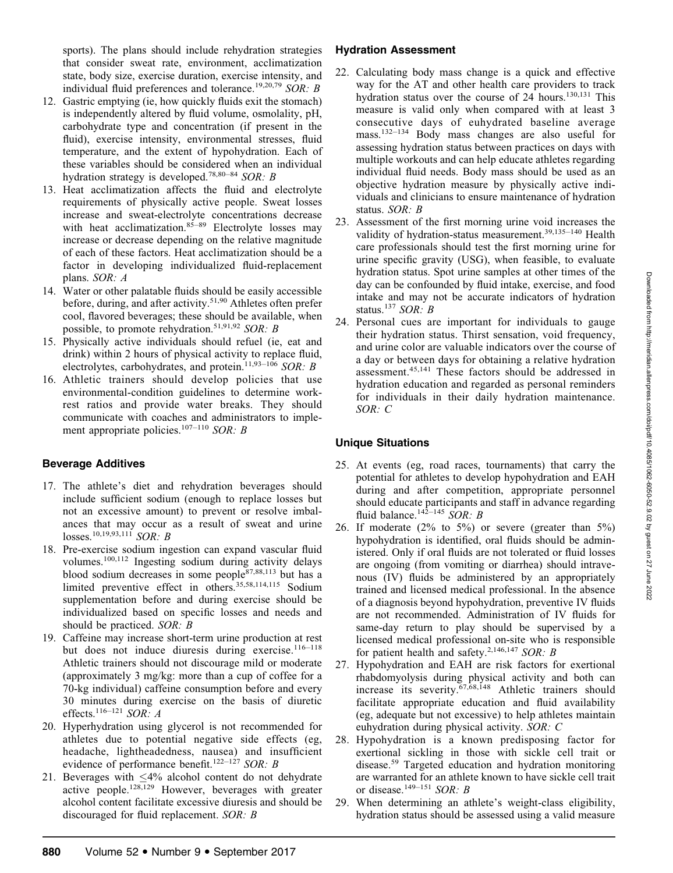sports). The plans should include rehydration strategies that consider sweat rate, environment, acclimatization state, body size, exercise duration, exercise intensity, and individual fluid preferences and tolerance.<sup>19,20,79</sup> SOR: B

- 12. Gastric emptying (ie, how quickly fluids exit the stomach) is independently altered by fluid volume, osmolality, pH, carbohydrate type and concentration (if present in the fluid), exercise intensity, environmental stresses, fluid temperature, and the extent of hypohydration. Each of these variables should be considered when an individual hydration strategy is developed.<sup>78,80-84</sup> SOR: B
- 13. Heat acclimatization affects the fluid and electrolyte requirements of physically active people. Sweat losses increase and sweat-electrolyte concentrations decrease with heat acclimatization.<sup>85-89</sup> Electrolyte losses may increase or decrease depending on the relative magnitude of each of these factors. Heat acclimatization should be a factor in developing individualized fluid-replacement plans. SOR: A
- 14. Water or other palatable fluids should be easily accessible before, during, and after activity.<sup>51,90</sup> Athletes often prefer cool, flavored beverages; these should be available, when possible, to promote rehydration.<sup>51,91,92</sup> SOR: B
- 15. Physically active individuals should refuel (ie, eat and drink) within 2 hours of physical activity to replace fluid, electrolytes, carbohydrates, and protein.<sup>11,93–106</sup> SOR: B
- 16. Athletic trainers should develop policies that use environmental-condition guidelines to determine workrest ratios and provide water breaks. They should communicate with coaches and administrators to implement appropriate policies.<sup>107-110</sup> SOR: B

## Beverage Additives

- 17. The athlete's diet and rehydration beverages should include sufficient sodium (enough to replace losses but not an excessive amount) to prevent or resolve imbalances that may occur as a result of sweat and urine losses.<sup>10,19,93,111</sup> SOR: B
- 18. Pre-exercise sodium ingestion can expand vascular fluid volumes.100,112 Ingesting sodium during activity delays blood sodium decreases in some people<sup>87,88,113</sup> but has a limited preventive effect in others.35,58,114,115 Sodium supplementation before and during exercise should be individualized based on specific losses and needs and should be practiced. SOR: B
- 19. Caffeine may increase short-term urine production at rest but does not induce diuresis during exercise.<sup>116-118</sup> Athletic trainers should not discourage mild or moderate (approximately 3 mg/kg: more than a cup of coffee for a 70-kg individual) caffeine consumption before and every 30 minutes during exercise on the basis of diuretic effects.<sup>116-121</sup> SOR: A
- 20. Hyperhydration using glycerol is not recommended for athletes due to potential negative side effects (eg, headache, lightheadedness, nausea) and insufficient evidence of performance benefit.<sup>122-127</sup> SOR: B
- 21. Beverages with  $\leq 4\%$  alcohol content do not dehydrate active people.128,129 However, beverages with greater alcohol content facilitate excessive diuresis and should be discouraged for fluid replacement. SOR: B

## Hydration Assessment

- 22. Calculating body mass change is a quick and effective way for the AT and other health care providers to track hydration status over the course of 24 hours.<sup>130,131</sup> This measure is valid only when compared with at least 3 consecutive days of euhydrated baseline average mass.<sup>132</sup>-<sup>134</sup> Body mass changes are also useful for assessing hydration status between practices on days with multiple workouts and can help educate athletes regarding individual fluid needs. Body mass should be used as an objective hydration measure by physically active individuals and clinicians to ensure maintenance of hydration status. SOR: B
- 23. Assessment of the first morning urine void increases the validity of hydration-status measurement.<sup>39,135-140</sup> Health care professionals should test the first morning urine for urine specific gravity (USG), when feasible, to evaluate hydration status. Spot urine samples at other times of the day can be confounded by fluid intake, exercise, and food intake and may not be accurate indicators of hydration status.<sup>137</sup> SOR: B
- 24. Personal cues are important for individuals to gauge their hydration status. Thirst sensation, void frequency, and urine color are valuable indicators over the course of a day or between days for obtaining a relative hydration assessment.45,141 These factors should be addressed in hydration education and regarded as personal reminders for individuals in their daily hydration maintenance. SOR: C

## Unique Situations

- 25. At events (eg, road races, tournaments) that carry the potential for athletes to develop hypohydration and EAH during and after competition, appropriate personnel should educate participants and staff in advance regarding fluid balance.<sup>142–145</sup> SOR: B
- 26. If moderate (2% to 5%) or severe (greater than 5%) hypohydration is identified, oral fluids should be administered. Only if oral fluids are not tolerated or fluid losses are ongoing (from vomiting or diarrhea) should intravenous (IV) fluids be administered by an appropriately trained and licensed medical professional. In the absence of a diagnosis beyond hypohydration, preventive IV fluids are not recommended. Administration of IV fluids for same-day return to play should be supervised by a licensed medical professional on-site who is responsible for patient health and safety.<sup>2,146,147</sup> SOR: B
- 27. Hypohydration and EAH are risk factors for exertional rhabdomyolysis during physical activity and both can increase its severity.67,68,148 Athletic trainers should facilitate appropriate education and fluid availability (eg, adequate but not excessive) to help athletes maintain euhydration during physical activity. SOR: C
- 28. Hypohydration is a known predisposing factor for exertional sickling in those with sickle cell trait or disease.<sup>59</sup> Targeted education and hydration monitoring are warranted for an athlete known to have sickle cell trait or disease.<sup>149–151</sup> SOR: B
- 29. When determining an athlete's weight-class eligibility, hydration status should be assessed using a valid measure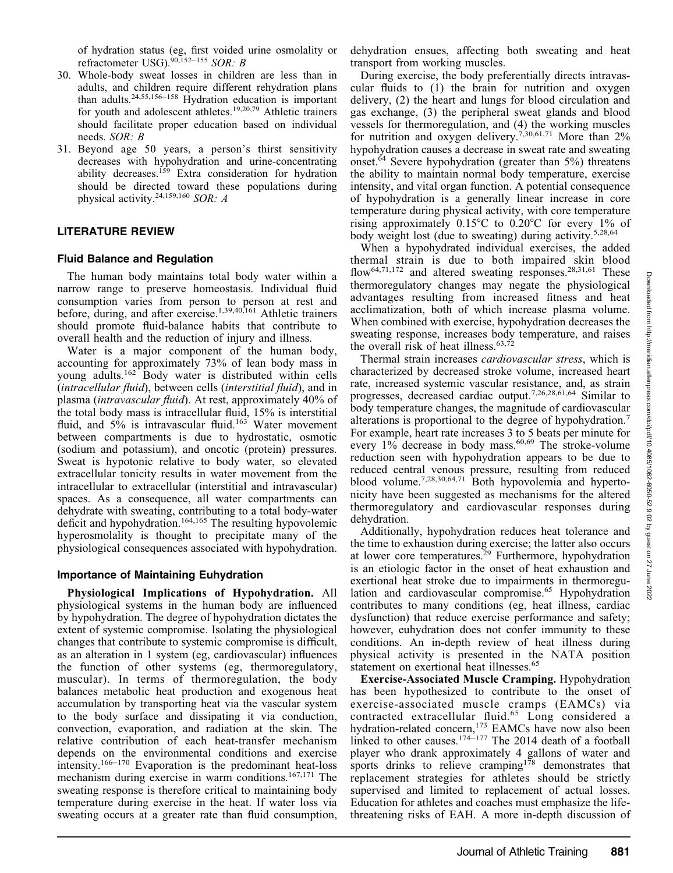of hydration status (eg, first voided urine osmolality or refractometer USG).<sup>90,152–155</sup> SOR: B

- 30. Whole-body sweat losses in children are less than in adults, and children require different rehydration plans than adults.24,55,156-<sup>158</sup> Hydration education is important for youth and adolescent athletes.<sup>19,20,79</sup> Athletic trainers should facilitate proper education based on individual needs. SOR: B
- 31. Beyond age 50 years, a person's thirst sensitivity decreases with hypohydration and urine-concentrating ability decreases.<sup>159</sup> Extra consideration for hydration should be directed toward these populations during physical activity.<sup>24,159,160</sup> SOR: A

## LITERATURE REVIEW

#### Fluid Balance and Regulation

The human body maintains total body water within a narrow range to preserve homeostasis. Individual fluid consumption varies from person to person at rest and before, during, and after exercise.<sup>1,39,40,161</sup> Athletic trainers should promote fluid-balance habits that contribute to overall health and the reduction of injury and illness.

Water is a major component of the human body, accounting for approximately 73% of lean body mass in young adults.162 Body water is distributed within cells (intracellular fluid), between cells (interstitial fluid), and in plasma (intravascular fluid). At rest, approximately 40% of the total body mass is intracellular fluid, 15% is interstitial fluid, and  $5\%$  is intravascular fluid.<sup>163</sup> Water movement between compartments is due to hydrostatic, osmotic (sodium and potassium), and oncotic (protein) pressures. Sweat is hypotonic relative to body water, so elevated extracellular tonicity results in water movement from the intracellular to extracellular (interstitial and intravascular) spaces. As a consequence, all water compartments can dehydrate with sweating, contributing to a total body-water deficit and hypohydration.<sup>164,165</sup> The resulting hypovolemic hyperosmolality is thought to precipitate many of the physiological consequences associated with hypohydration.

#### Importance of Maintaining Euhydration

Physiological Implications of Hypohydration. All physiological systems in the human body are influenced by hypohydration. The degree of hypohydration dictates the extent of systemic compromise. Isolating the physiological changes that contribute to systemic compromise is difficult, as an alteration in 1 system (eg, cardiovascular) influences the function of other systems (eg, thermoregulatory, muscular). In terms of thermoregulation, the body balances metabolic heat production and exogenous heat accumulation by transporting heat via the vascular system to the body surface and dissipating it via conduction, convection, evaporation, and radiation at the skin. The relative contribution of each heat-transfer mechanism depends on the environmental conditions and exercise intensity.<sup>166-170</sup> Evaporation is the predominant heat-loss mechanism during exercise in warm conditions.167,171 The sweating response is therefore critical to maintaining body temperature during exercise in the heat. If water loss via sweating occurs at a greater rate than fluid consumption,

dehydration ensues, affecting both sweating and heat transport from working muscles.

During exercise, the body preferentially directs intravascular fluids to (1) the brain for nutrition and oxygen delivery, (2) the heart and lungs for blood circulation and gas exchange, (3) the peripheral sweat glands and blood vessels for thermoregulation, and (4) the working muscles for nutrition and oxygen delivery.<sup>7,30,61,71</sup> More than 2% hypohydration causes a decrease in sweat rate and sweating onset.<sup>64</sup> Severe hypohydration (greater than 5%) threatens the ability to maintain normal body temperature, exercise intensity, and vital organ function. A potential consequence of hypohydration is a generally linear increase in core temperature during physical activity, with core temperature rising approximately  $0.15^{\circ}$ C to  $0.20^{\circ}$ C for every 1% of body weight lost (due to sweating) during activity.<sup>5,28,64</sup>

When a hypohydrated individual exercises, the added thermal strain is due to both impaired skin blood flow<sup>64,71,172</sup> and altered sweating responses.<sup>28,31,61</sup> These thermoregulatory changes may negate the physiological advantages resulting from increased fitness and heat acclimatization, both of which increase plasma volume. When combined with exercise, hypohydration decreases the sweating response, increases body temperature, and raises the overall risk of heat illness. $63,72$ 

Thermal strain increases cardiovascular stress, which is characterized by decreased stroke volume, increased heart rate, increased systemic vascular resistance, and, as strain progresses, decreased cardiac output.7,26,28,61,64 Similar to body temperature changes, the magnitude of cardiovascular alterations is proportional to the degree of hypohydration.7 For example, heart rate increases 3 to 5 beats per minute for every  $1\%$  decrease in body mass.<sup>60,69</sup> The stroke-volume reduction seen with hypohydration appears to be due to reduced central venous pressure, resulting from reduced blood volume.<sup>7,28,30,64,71</sup> Both hypovolemia and hypertonicity have been suggested as mechanisms for the altered thermoregulatory and cardiovascular responses during dehydration.

Additionally, hypohydration reduces heat tolerance and the time to exhaustion during exercise; the latter also occurs at lower core temperatures.<sup>29</sup> Furthermore, hypohydration is an etiologic factor in the onset of heat exhaustion and exertional heat stroke due to impairments in thermoregulation and cardiovascular compromise.<sup>65</sup> Hypohydration contributes to many conditions (eg, heat illness, cardiac dysfunction) that reduce exercise performance and safety; however, euhydration does not confer immunity to these conditions. An in-depth review of heat illness during physical activity is presented in the NATA position statement on exertional heat illnesses.<sup>65</sup>

Exercise-Associated Muscle Cramping. Hypohydration has been hypothesized to contribute to the onset of exercise-associated muscle cramps (EAMCs) via contracted extracellular fluid.<sup>65</sup> Long considered a hydration-related concern,<sup>173</sup> EAMCs have now also been linked to other causes. $174-177$  The 2014 death of a football player who drank approximately 4 gallons of water and sports drinks to relieve cramping<sup>178</sup> demonstrates that replacement strategies for athletes should be strictly supervised and limited to replacement of actual losses. Education for athletes and coaches must emphasize the lifethreatening risks of EAH. A more in-depth discussion of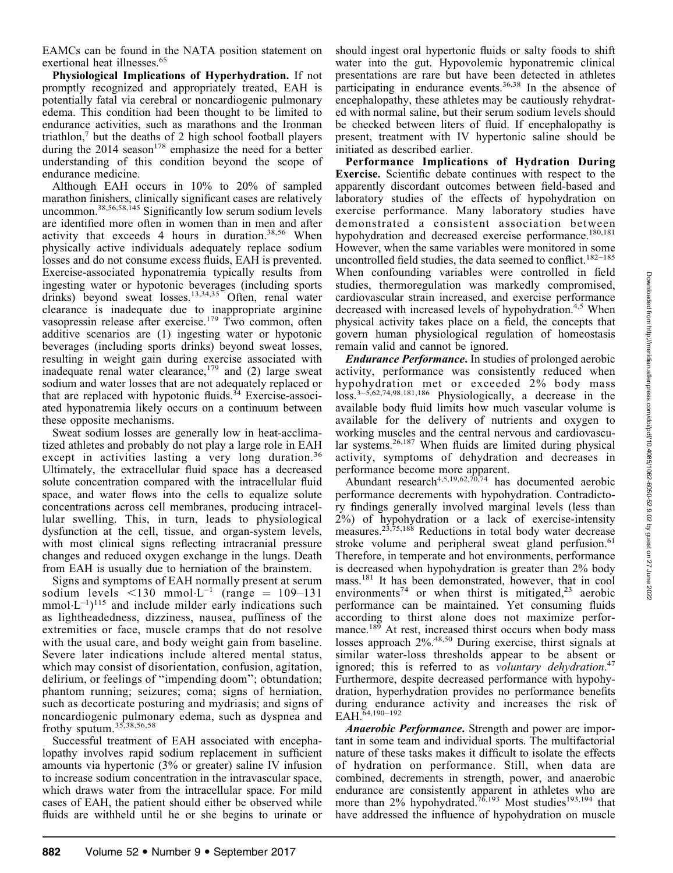EAMCs can be found in the NATA position statement on exertional heat illnesses.<sup>65</sup>

Physiological Implications of Hyperhydration. If not promptly recognized and appropriately treated, EAH is potentially fatal via cerebral or noncardiogenic pulmonary edema. This condition had been thought to be limited to endurance activities, such as marathons and the Ironman triathlon, $\frac{7}{1}$  but the deaths of 2 high school football players during the  $2014$  season<sup>178</sup> emphasize the need for a better understanding of this condition beyond the scope of endurance medicine.

Although EAH occurs in 10% to 20% of sampled marathon finishers, clinically significant cases are relatively uncommon.38,56,58,145 Significantly low serum sodium levels are identified more often in women than in men and after activity that exceeds 4 hours in duration.38,56 When physically active individuals adequately replace sodium losses and do not consume excess fluids, EAH is prevented. Exercise-associated hyponatremia typically results from ingesting water or hypotonic beverages (including sports drinks) beyond sweat losses.<sup>13,34,35</sup> Often, renal water clearance is inadequate due to inappropriate arginine vasopressin release after exercise.<sup>179</sup> Two common, often additive scenarios are (1) ingesting water or hypotonic beverages (including sports drinks) beyond sweat losses, resulting in weight gain during exercise associated with inadequate renal water clearance,<sup>179</sup> and (2) large sweat sodium and water losses that are not adequately replaced or that are replaced with hypotonic fluids.<sup>34</sup> Exercise-associated hyponatremia likely occurs on a continuum between these opposite mechanisms.

Sweat sodium losses are generally low in heat-acclimatized athletes and probably do not play a large role in EAH except in activities lasting a very long duration.<sup>36</sup> Ultimately, the extracellular fluid space has a decreased solute concentration compared with the intracellular fluid space, and water flows into the cells to equalize solute concentrations across cell membranes, producing intracellular swelling. This, in turn, leads to physiological dysfunction at the cell, tissue, and organ-system levels, with most clinical signs reflecting intracranial pressure changes and reduced oxygen exchange in the lungs. Death from EAH is usually due to herniation of the brainstem.

Signs and symptoms of EAH normally present at serum solium levels  $\lt 130$  mmol $L^{-1}$  (range = 109–131) mmol $\cdot$ L<sup>-1</sup>)<sup>115</sup> and include milder early indications such as lightheadedness, dizziness, nausea, puffiness of the extremities or face, muscle cramps that do not resolve with the usual care, and body weight gain from baseline. Severe later indications include altered mental status, which may consist of disorientation, confusion, agitation, delirium, or feelings of ''impending doom''; obtundation; phantom running; seizures; coma; signs of herniation, such as decorticate posturing and mydriasis; and signs of noncardiogenic pulmonary edema, such as dyspnea and frothy sputum. $35,38,56,58$ 

Successful treatment of EAH associated with encephalopathy involves rapid sodium replacement in sufficient amounts via hypertonic (3% or greater) saline IV infusion to increase sodium concentration in the intravascular space, which draws water from the intracellular space. For mild cases of EAH, the patient should either be observed while fluids are withheld until he or she begins to urinate or should ingest oral hypertonic fluids or salty foods to shift water into the gut. Hypovolemic hyponatremic clinical presentations are rare but have been detected in athletes participating in endurance events.<sup>36,38</sup> In the absence of encephalopathy, these athletes may be cautiously rehydrated with normal saline, but their serum sodium levels should be checked between liters of fluid. If encephalopathy is present, treatment with IV hypertonic saline should be initiated as described earlier.

Performance Implications of Hydration During Exercise. Scientific debate continues with respect to the apparently discordant outcomes between field-based and laboratory studies of the effects of hypohydration on exercise performance. Many laboratory studies have demonstrated a consistent association between hypohydration and decreased exercise performance.<sup>180,181</sup> However, when the same variables were monitored in some uncontrolled field studies, the data seemed to conflict.<sup>182–185</sup> When confounding variables were controlled in field studies, thermoregulation was markedly compromised, cardiovascular strain increased, and exercise performance decreased with increased levels of hypohydration.<sup>4,5</sup> When physical activity takes place on a field, the concepts that govern human physiological regulation of homeostasis remain valid and cannot be ignored.

**Endurance Performance.** In studies of prolonged aerobic activity, performance was consistently reduced when hypohydration met or exceeded 2% body mass loss.<sup>3</sup>-5,62,74,98,181,186 Physiologically, a decrease in the available body fluid limits how much vascular volume is available for the delivery of nutrients and oxygen to working muscles and the central nervous and cardiovascular systems.<sup>26,187</sup> When fluids are limited during physical activity, symptoms of dehydration and decreases in performance become more apparent.

Abundant research<sup>4,5,19,62,70,74</sup> has documented aerobic performance decrements with hypohydration. Contradictory findings generally involved marginal levels (less than 2%) of hypohydration or a lack of exercise-intensity measures.23,75,188 Reductions in total body water decrease stroke volume and peripheral sweat gland perfusion.<sup>61</sup> Therefore, in temperate and hot environments, performance is decreased when hypohydration is greater than 2% body mass.<sup>181</sup> It has been demonstrated, however, that in cool environments<sup>74</sup> or when thirst is mitigated,<sup>23</sup> aerobic performance can be maintained. Yet consuming fluids according to thirst alone does not maximize performance.<sup>189</sup> At rest, increased thirst occurs when body mass losses approach 2%.48,50 During exercise, thirst signals at similar water-loss thresholds appear to be absent or ignored; this is referred to as voluntary dehydration.<sup>47</sup> Furthermore, despite decreased performance with hypohydration, hyperhydration provides no performance benefits during endurance activity and increases the risk of EAH.<sup>64,190-192</sup>

Anaerobic Performance. Strength and power are important in some team and individual sports. The multifactorial nature of these tasks makes it difficult to isolate the effects of hydration on performance. Still, when data are combined, decrements in strength, power, and anaerobic endurance are consistently apparent in athletes who are more than 2% hypohydrated.<sup>76,193</sup> Most studies<sup>193,194</sup> that have addressed the influence of hypohydration on muscle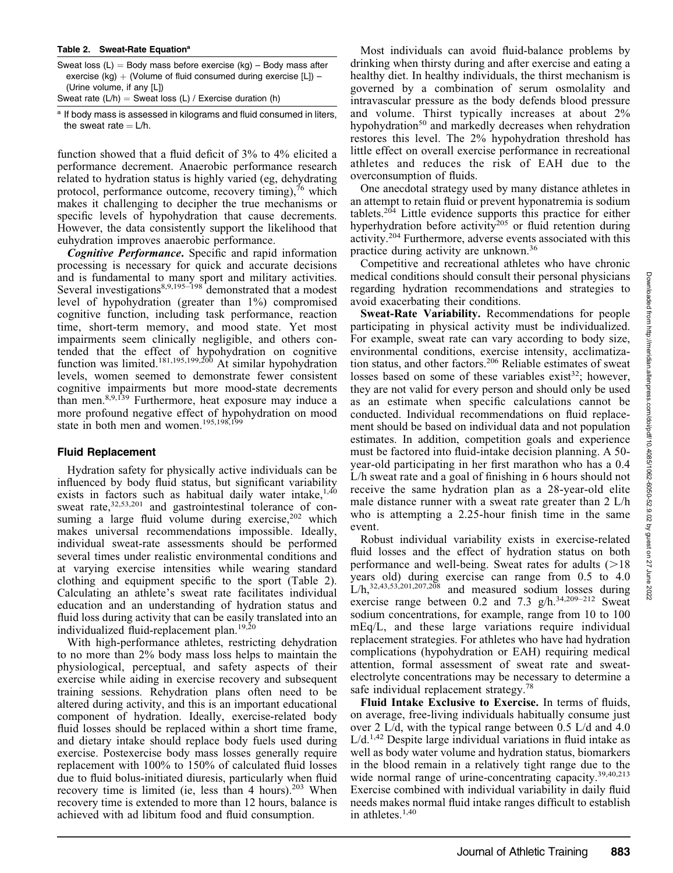#### Table 2. Sweat-Rate Equation<sup>a</sup>

| Sweat loss $(L) = Body$ mass before exercise $(kq) - Body$ mass after |
|-----------------------------------------------------------------------|
| exercise (kg) $+$ (Volume of fluid consumed during exercise [L]) $-$  |
| (Urine volume, if any [L])                                            |
| Sweat rate $(L/h)$ = Sweat loss $(L)$ / Exercise duration (h)         |

<sup>a</sup> If body mass is assessed in kilograms and fluid consumed in liters, the sweat rate  $= L/h$ .

function showed that a fluid deficit of 3% to 4% elicited a performance decrement. Anaerobic performance research related to hydration status is highly varied (eg, dehydrating protocol, performance outcome, recovery timing),  $^{76}$  which makes it challenging to decipher the true mechanisms or specific levels of hypohydration that cause decrements. However, the data consistently support the likelihood that euhydration improves anaerobic performance.

Cognitive Performance. Specific and rapid information processing is necessary for quick and accurate decisions and is fundamental to many sport and military activities. Several investigations<sup>8,9,195-198</sup> demonstrated that a modest level of hypohydration (greater than 1%) compromised cognitive function, including task performance, reaction time, short-term memory, and mood state. Yet most impairments seem clinically negligible, and others contended that the effect of hypohydration on cognitive function was limited.181,195,199,200 At similar hypohydration levels, women seemed to demonstrate fewer consistent cognitive impairments but more mood-state decrements than men.8,9,139 Furthermore, heat exposure may induce a more profound negative effect of hypohydration on mood state in both men and women.<sup>195,198,199</sup>

## Fluid Replacement

Hydration safety for physically active individuals can be influenced by body fluid status, but significant variability exists in factors such as habitual daily water intake, $1,40$ sweat rate, $32,53,201$  and gastrointestinal tolerance of consuming a large fluid volume during exercise,<sup>202</sup> which makes universal recommendations impossible. Ideally, individual sweat-rate assessments should be performed several times under realistic environmental conditions and at varying exercise intensities while wearing standard clothing and equipment specific to the sport (Table 2). Calculating an athlete's sweat rate facilitates individual education and an understanding of hydration status and fluid loss during activity that can be easily translated into an individualized fluid-replacement plan.<sup>19,20</sup>

With high-performance athletes, restricting dehydration to no more than 2% body mass loss helps to maintain the physiological, perceptual, and safety aspects of their exercise while aiding in exercise recovery and subsequent training sessions. Rehydration plans often need to be altered during activity, and this is an important educational component of hydration. Ideally, exercise-related body fluid losses should be replaced within a short time frame, and dietary intake should replace body fuels used during exercise. Postexercise body mass losses generally require replacement with 100% to 150% of calculated fluid losses due to fluid bolus-initiated diuresis, particularly when fluid recovery time is limited (ie, less than 4 hours).<sup>203</sup> When recovery time is extended to more than 12 hours, balance is achieved with ad libitum food and fluid consumption.

Most individuals can avoid fluid-balance problems by drinking when thirsty during and after exercise and eating a healthy diet. In healthy individuals, the thirst mechanism is governed by a combination of serum osmolality and intravascular pressure as the body defends blood pressure and volume. Thirst typically increases at about 2% hypohydration<sup>50</sup> and markedly decreases when rehydration restores this level. The 2% hypohydration threshold has little effect on overall exercise performance in recreational athletes and reduces the risk of EAH due to the overconsumption of fluids.

One anecdotal strategy used by many distance athletes in an attempt to retain fluid or prevent hyponatremia is sodium tablets.<sup>204</sup> Little evidence supports this practice for either hyperhydration before activity<sup>205</sup> or fluid retention during activity.<sup>204</sup> Furthermore, adverse events associated with this practice during activity are unknown.36

Competitive and recreational athletes who have chronic medical conditions should consult their personal physicians regarding hydration recommendations and strategies to avoid exacerbating their conditions.

Sweat-Rate Variability. Recommendations for people participating in physical activity must be individualized. For example, sweat rate can vary according to body size, environmental conditions, exercise intensity, acclimatization status, and other factors.<sup>206</sup> Reliable estimates of sweat losses based on some of these variables exist<sup>32</sup>; however, they are not valid for every person and should only be used as an estimate when specific calculations cannot be conducted. Individual recommendations on fluid replacement should be based on individual data and not population estimates. In addition, competition goals and experience must be factored into fluid-intake decision planning. A 50 year-old participating in her first marathon who has a 0.4 L/h sweat rate and a goal of finishing in 6 hours should not receive the same hydration plan as a 28-year-old elite male distance runner with a sweat rate greater than 2 L/h who is attempting a 2.25-hour finish time in the same event.

Robust individual variability exists in exercise-related fluid losses and the effect of hydration status on both performance and well-being. Sweat rates for adults  $($ >18 years old) during exercise can range from 0.5 to 4.0  $L/h$ ,  $32,43,53,201,207,208$  and measured sodium losses during exercise range between 0.2 and 7.3  $g/h$ .<sup>34,209-212</sup> Sweat sodium concentrations, for example, range from 10 to 100 mEq/L, and these large variations require individual replacement strategies. For athletes who have had hydration complications (hypohydration or EAH) requiring medical attention, formal assessment of sweat rate and sweatelectrolyte concentrations may be necessary to determine a safe individual replacement strategy.<sup>78</sup>

Fluid Intake Exclusive to Exercise. In terms of fluids, on average, free-living individuals habitually consume just over 2 L/d, with the typical range between 0.5 L/d and 4.0  $L/d$ .<sup>1,42</sup> Despite large individual variations in fluid intake as well as body water volume and hydration status, biomarkers in the blood remain in a relatively tight range due to the wide normal range of urine-concentrating capacity.<sup>39,40,213</sup> Exercise combined with individual variability in daily fluid needs makes normal fluid intake ranges difficult to establish in athletes.<sup>1,40</sup>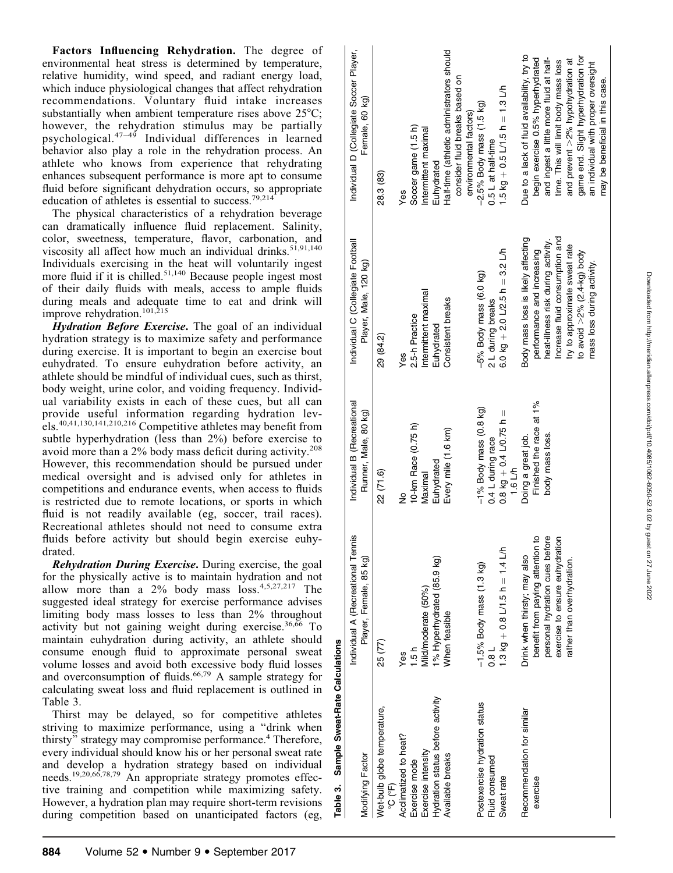Factors Influencing Rehydration. The degree of environmental heat stress is determined by temperature, relative humidity, wind speed, and radiant energy load, which induce physiological changes that affect rehydration recommendations. Voluntary fluid intake increases substantially when ambient temperature rises above  $25^{\circ}$ C; however, the rehydration stimulus may be partially psychological.<sup>47-49</sup> Individual differences in learned behavior also play a role in the rehydration process. An athlete who knows from experience that rehydrating enhances subsequent performance is more apt to consume fluid before significant dehydration occurs, so appropriate education of athletes is essential to success.79,214

The physical characteristics of a rehydration beverage can dramatically influence fluid replacement. Salinity, color, sweetness, temperature, flavor, carbonation, and viscosity all affect how much an individual drinks.<sup>51,91,140</sup> Individuals exercising in the heat will voluntarily ingest more fluid if it is chilled.<sup>51,140</sup> Because people ingest most of their daily fluids with meals, access to ample fluids during meals and adequate time to eat and drink will improve rehydration.101,215

Hydration Before Exercise. The goal of an individual hydration strategy is to maximize safety and performance during exercise. It is important to begin an exercise bout euhydrated. To ensure euhydration before activity, an athlete should be mindful of individual cues, such as thirst, body weight, urine color, and voiding frequency. Individual variability exists in each of these cues, but all can provide useful information regarding hydration levels.40,41,130,141,210,216 Competitive athletes may benefit from subtle hyperhydration (less than 2%) before exercise to avoid more than a 2% body mass deficit during activity.<sup>208</sup> However, this recommendation should be pursued under medical oversight and is advised only for athletes in competitions and endurance events, when access to fluids is restricted due to remote locations, or sports in which fluid is not readily available (eg, soccer, trail races). Recreational athletes should not need to consume extra fluids before activity but should begin exercise euhydrated.

Rehydration During Exercise. During exercise, the goal for the physically active is to maintain hydration and not allow more than a 2% body mass loss.4,5,27,217 The suggested ideal strategy for exercise performance advises limiting body mass losses to less than 2% throughout activity but not gaining weight during exercise. $36,66$  To maintain euhydration during activity, an athlete should consume enough fluid to approximate personal sweat volume losses and avoid both excessive body fluid losses and overconsumption of fluids.<sup>66,79</sup> A sample strategy for calculating sweat loss and fluid replacement is outlined in Table 3.

Thirst may be delayed, so for competitive athletes striving to maximize performance, using a ''drink when thirsty'' strategy may compromise performance. <sup>4</sup> Therefore, every individual should know his or her personal sweat rate and develop a hydration strategy based on individual needs.19,20,66,78,79 An appropriate strategy promotes effective training and competition while maximizing safety. However, a hydration plan may require short-term revisions during competition based on unanticipated factors (eg,

| Table 3. Sample Sweat-Rate Calculations |                                                             |                                                    |                                                            |                                                                        |
|-----------------------------------------|-------------------------------------------------------------|----------------------------------------------------|------------------------------------------------------------|------------------------------------------------------------------------|
| Modifying Factor                        | Individual A (Recreational Tennis<br>Player, Female, 85 kg) | Individual B (Recreational<br>Runner, Male, 80 kg) | Individual C (Collegiate Football<br>Player, Male, 120 kg) | Individual D (Collegiate Soccer Player,<br>Female, 60 kg)              |
| Wet-bulb globe temperature,<br>°C (°F)  | 25 (77)                                                     | 22 (71.6)                                          | 29 (84.2)                                                  | 28.3 (83)                                                              |
| Acclimatized to heat?                   | Yes                                                         | ž                                                  | Yes                                                        | Yes                                                                    |
| Exercise mode                           | 1.5h                                                        | 10-km Race (0.75 h)                                | 2.5-h Practice                                             | Soccer game (1.5 h)                                                    |
| Exercise intensity                      | Viild/moderate (50%)                                        | Maximal                                            | Intermittent maximal                                       | Intermittent maximal                                                   |
| Hydration status before activity        | 1% Hyperhydrated (85.9 kg)                                  | Euhydrated                                         | Euhydrated                                                 | Euhydrated                                                             |
| Available breaks                        | When feasible                                               | Every mile (1.6 km)                                | Consistent breaks                                          | Half-time (athletic administrators should                              |
|                                         |                                                             |                                                    |                                                            | consider fluid breaks based on                                         |
|                                         |                                                             |                                                    |                                                            | environmental factors)                                                 |
| Postexercise hydration status           | $-1.5%$ Body mass $(1.3$ kg)                                | $-1\%$ Body mass $(0.8$ kg)                        | $-5%$ Body mass $(6.0 \text{ kg})$                         | $-2.5%$ Body mass (1.5 kg)                                             |
| Fluid consumed                          | $\frac{1}{8}$                                               | 0.4 L during race                                  | 2 L during breaks                                          | 0.5 L at half-time                                                     |
| Sweat rate                              | $1.3$ kg + 0.8 L/1.5 h = 1.4 L/h                            | $0.8$ kg + 0.4 L/0.75 h =<br>1.6 L/h               | $6.0$ kg + 2.0 L/2.5 h = 3.2 L/h                           | $1.5$ kg + 0.5 L/1.5 h = 1.3 L/h                                       |
| Recommendation for similar              | Drink when thirsty; may also                                | Doing a great job.                                 | Body mass loss is likely affecting                         | Due to a lack of fluid availability, try to                            |
| exercise                                | $\frac{1}{2}$<br>benefit from paying attention              | Finished the race at 1%                            | performance and increasing                                 | begin exercise 0.5% hyperhydrated                                      |
|                                         | personal hydration cues before                              | body mass loss.                                    | heat-illness risk during activity.                         | and ingest a little more fluid at half-                                |
|                                         | exercise to ensure euhydration                              |                                                    | Increase fluid consumption and                             | time. This will limit body mass loss                                   |
|                                         | rather than overhydration.                                  |                                                    | try to approximate sweat rate                              | and prevent >2% hypohydration at                                       |
|                                         |                                                             |                                                    | to avoid $>2\%$ (2.4-kg) body                              | game end. Slight hyperhydration for                                    |
|                                         |                                                             |                                                    | mass loss during activity.                                 | an individual with proper oversight<br>may be beneficial in this case. |
|                                         |                                                             |                                                    |                                                            |                                                                        |
|                                         |                                                             |                                                    |                                                            |                                                                        |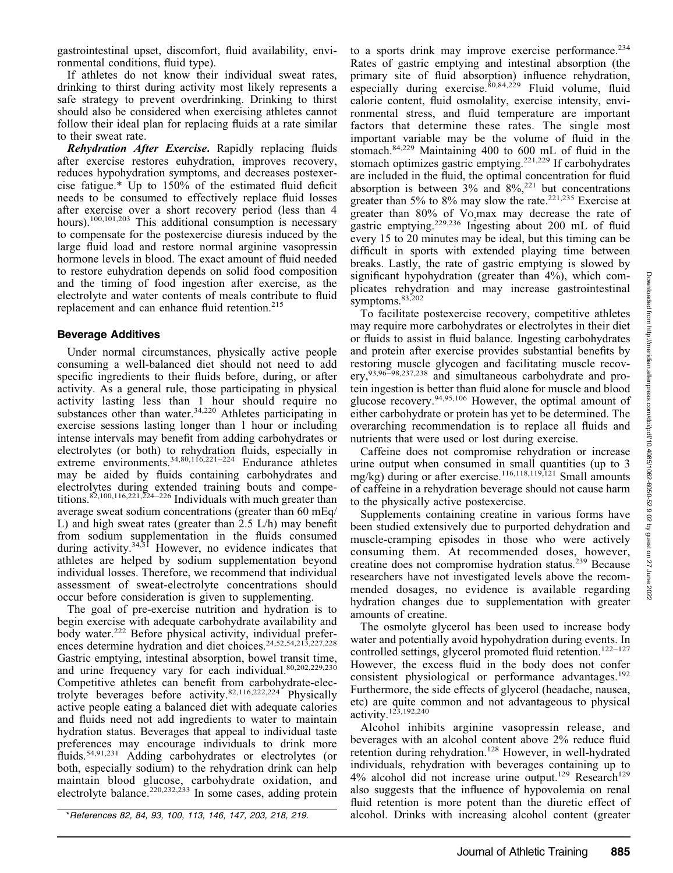gastrointestinal upset, discomfort, fluid availability, environmental conditions, fluid type).

If athletes do not know their individual sweat rates, drinking to thirst during activity most likely represents a safe strategy to prevent overdrinking. Drinking to thirst should also be considered when exercising athletes cannot follow their ideal plan for replacing fluids at a rate similar to their sweat rate.

Rehydration After Exercise. Rapidly replacing fluids after exercise restores euhydration, improves recovery, reduces hypohydration symptoms, and decreases postexercise fatigue.\* Up to 150% of the estimated fluid deficit needs to be consumed to effectively replace fluid losses after exercise over a short recovery period (less than 4 hours).<sup>100,101,203</sup> This additional consumption is necessary to compensate for the postexercise diuresis induced by the large fluid load and restore normal arginine vasopressin hormone levels in blood. The exact amount of fluid needed to restore euhydration depends on solid food composition and the timing of food ingestion after exercise, as the electrolyte and water contents of meals contribute to fluid replacement and can enhance fluid retention.<sup>215</sup>

#### Beverage Additives

Under normal circumstances, physically active people consuming a well-balanced diet should not need to add specific ingredients to their fluids before, during, or after activity. As a general rule, those participating in physical activity lasting less than 1 hour should require no substances other than water.<sup>34,220</sup> Athletes participating in exercise sessions lasting longer than 1 hour or including intense intervals may benefit from adding carbohydrates or electrolytes (or both) to rehydration fluids, especially in extreme environments.<sup>34,80,116,221-224</sup> Endurance athletes may be aided by fluids containing carbohydrates and electrolytes during extended training bouts and competitions.<sup>82,100,116,221,224–226</sup> Individuals with much greater than average sweat sodium concentrations (greater than 60 mEq/ L) and high sweat rates (greater than 2.5 L/h) may benefit from sodium supplementation in the fluids consumed during activity. $34,51$  However, no evidence indicates that athletes are helped by sodium supplementation beyond individual losses. Therefore, we recommend that individual assessment of sweat-electrolyte concentrations should occur before consideration is given to supplementing.

The goal of pre-exercise nutrition and hydration is to begin exercise with adequate carbohydrate availability and body water.<sup>222</sup> Before physical activity, individual preferences determine hydration and diet choices.24,52,54,213,227,228 Gastric emptying, intestinal absorption, bowel transit time, and urine frequency vary for each individual.<sup>80,202,229,230</sup> Competitive athletes can benefit from carbohydrate-electrolyte beverages before activity.<sup>82,116,222,224</sup> Physically active people eating a balanced diet with adequate calories and fluids need not add ingredients to water to maintain hydration status. Beverages that appeal to individual taste preferences may encourage individuals to drink more fluids.54,91,231 Adding carbohydrates or electrolytes (or both, especially sodium) to the rehydration drink can help maintain blood glucose, carbohydrate oxidation, and electrolyte balance.<sup>220,232,233</sup> In some cases, adding protein

to a sports drink may improve exercise performance.<sup>234</sup> Rates of gastric emptying and intestinal absorption (the primary site of fluid absorption) influence rehydration, especially during exercise.<sup>80,84,229</sup> Fluid volume, fluid calorie content, fluid osmolality, exercise intensity, environmental stress, and fluid temperature are important factors that determine these rates. The single most important variable may be the volume of fluid in the stomach.84,229 Maintaining 400 to 600 mL of fluid in the stomach optimizes gastric emptying.<sup>221,229</sup> If carbohydrates are included in the fluid, the optimal concentration for fluid absorption is between  $3\%$  and  $8\%$ <sup>221</sup> but concentrations greater than 5% to 8% may slow the rate.<sup>221,235</sup> Exercise at greater than 80% of Vo<sub>2</sub>max may decrease the rate of gastric emptying.<sup>229,236</sup> Ingesting about 200 mL of fluid every 15 to 20 minutes may be ideal, but this timing can be difficult in sports with extended playing time between breaks. Lastly, the rate of gastric emptying is slowed by significant hypohydration (greater than 4%), which complicates rehydration and may increase gastrointestinal symptoms.<sup>83,202</sup>

To facilitate postexercise recovery, competitive athletes may require more carbohydrates or electrolytes in their diet or fluids to assist in fluid balance. Ingesting carbohydrates and protein after exercise provides substantial benefits by restoring muscle glycogen and facilitating muscle recovery,<sup>93,96–98,237,238</sup> and simultaneous carbohydrate and protein ingestion is better than fluid alone for muscle and blood glucose recovery.94,95,106 However, the optimal amount of either carbohydrate or protein has yet to be determined. The overarching recommendation is to replace all fluids and nutrients that were used or lost during exercise.

Caffeine does not compromise rehydration or increase urine output when consumed in small quantities (up to 3 mg/kg) during or after exercise.<sup>116,118,119,121</sup> Small amounts of caffeine in a rehydration beverage should not cause harm to the physically active postexercise.

Supplements containing creatine in various forms have been studied extensively due to purported dehydration and muscle-cramping episodes in those who were actively consuming them. At recommended doses, however, creatine does not compromise hydration status.239 Because researchers have not investigated levels above the recommended dosages, no evidence is available regarding hydration changes due to supplementation with greater amounts of creatine.

The osmolyte glycerol has been used to increase body water and potentially avoid hypohydration during events. In controlled settings, glycerol promoted fluid retention.<sup>122-127</sup> However, the excess fluid in the body does not confer consistent physiological or performance advantages.<sup>192</sup> Furthermore, the side effects of glycerol (headache, nausea, etc) are quite common and not advantageous to physical activity.123,192,240

Alcohol inhibits arginine vasopressin release, and beverages with an alcohol content above 2% reduce fluid retention during rehydration.<sup>128</sup> However, in well-hydrated individuals, rehydration with beverages containing up to  $4\%$  alcohol did not increase urine output.<sup>129</sup> Research<sup>129</sup> also suggests that the influence of hypovolemia on renal fluid retention is more potent than the diuretic effect of \*References 82, 84, 93, 100, 113, 146, 147, 203, 218, 219. alcohol. Drinks with increasing alcohol content (greater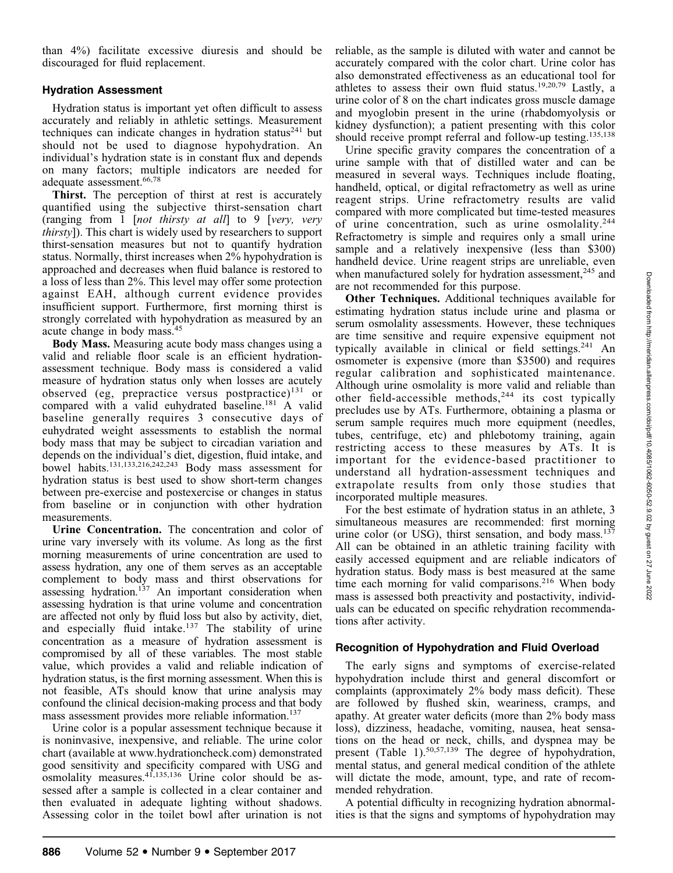than 4%) facilitate excessive diuresis and should be discouraged for fluid replacement.

# Hydration Assessment

Hydration status is important yet often difficult to assess accurately and reliably in athletic settings. Measurement techniques can indicate changes in hydration status $^{241}$  but should not be used to diagnose hypohydration. An individual's hydration state is in constant flux and depends on many factors; multiple indicators are needed for adequate assessment.<sup>66,78</sup>

Thirst. The perception of thirst at rest is accurately quantified using the subjective thirst-sensation chart (ranging from  $\overline{1}$  [not thirsty at all] to 9 [very, very thirsty]). This chart is widely used by researchers to support thirst-sensation measures but not to quantify hydration status. Normally, thirst increases when 2% hypohydration is approached and decreases when fluid balance is restored to a loss of less than 2%. This level may offer some protection against EAH, although current evidence provides insufficient support. Furthermore, first morning thirst is strongly correlated with hypohydration as measured by an acute change in body mass.<sup>45</sup>

Body Mass. Measuring acute body mass changes using a valid and reliable floor scale is an efficient hydrationassessment technique. Body mass is considered a valid measure of hydration status only when losses are acutely observed (eg, prepractice versus postpractice)<sup>131</sup> or compared with a valid euhydrated baseline.<sup>181</sup> A valid baseline generally requires 3 consecutive days of euhydrated weight assessments to establish the normal body mass that may be subject to circadian variation and depends on the individual's diet, digestion, fluid intake, and bowel habits.131,133,216,242,243 Body mass assessment for hydration status is best used to show short-term changes between pre-exercise and postexercise or changes in status from baseline or in conjunction with other hydration measurements.

Urine Concentration. The concentration and color of urine vary inversely with its volume. As long as the first morning measurements of urine concentration are used to assess hydration, any one of them serves as an acceptable complement to body mass and thirst observations for assessing hydration.<sup>137</sup> An important consideration when assessing hydration is that urine volume and concentration are affected not only by fluid loss but also by activity, diet, and especially fluid intake.<sup>137</sup> The stability of urine concentration as a measure of hydration assessment is compromised by all of these variables. The most stable value, which provides a valid and reliable indication of hydration status, is the first morning assessment. When this is not feasible, ATs should know that urine analysis may confound the clinical decision-making process and that body mass assessment provides more reliable information.<sup>137</sup>

Urine color is a popular assessment technique because it is noninvasive, inexpensive, and reliable. The urine color chart (available at www.hydrationcheck.com) demonstrated good sensitivity and specificity compared with USG and osmolality measures. $41,135,136$  Urine color should be assessed after a sample is collected in a clear container and then evaluated in adequate lighting without shadows. Assessing color in the toilet bowl after urination is not

reliable, as the sample is diluted with water and cannot be accurately compared with the color chart. Urine color has also demonstrated effectiveness as an educational tool for athletes to assess their own fluid status.19,20,79 Lastly, a urine color of 8 on the chart indicates gross muscle damage and myoglobin present in the urine (rhabdomyolysis or kidney dysfunction); a patient presenting with this color should receive prompt referral and follow-up testing.<sup>135,138</sup>

Urine specific gravity compares the concentration of a urine sample with that of distilled water and can be measured in several ways. Techniques include floating, handheld, optical, or digital refractometry as well as urine reagent strips. Urine refractometry results are valid compared with more complicated but time-tested measures of urine concentration, such as urine osmolality.<sup>244</sup> Refractometry is simple and requires only a small urine sample and a relatively inexpensive (less than \$300) handheld device. Urine reagent strips are unreliable, even when manufactured solely for hydration assessment,<sup>245</sup> and are not recommended for this purpose.

Other Techniques. Additional techniques available for estimating hydration status include urine and plasma or serum osmolality assessments. However, these techniques are time sensitive and require expensive equipment not typically available in clinical or field settings.<sup>241</sup> An osmometer is expensive (more than \$3500) and requires regular calibration and sophisticated maintenance. Although urine osmolality is more valid and reliable than other field-accessible methods, $244$  its cost typically precludes use by ATs. Furthermore, obtaining a plasma or serum sample requires much more equipment (needles, tubes, centrifuge, etc) and phlebotomy training, again restricting access to these measures by ATs. It is important for the evidence-based practitioner to understand all hydration-assessment techniques and extrapolate results from only those studies that incorporated multiple measures.

For the best estimate of hydration status in an athlete, 3 simultaneous measures are recommended: first morning urine color (or USG), thirst sensation, and body mass.<sup>137</sup> All can be obtained in an athletic training facility with easily accessed equipment and are reliable indicators of hydration status. Body mass is best measured at the same time each morning for valid comparisons.<sup>216</sup> When body mass is assessed both preactivity and postactivity, individuals can be educated on specific rehydration recommendations after activity.

# Recognition of Hypohydration and Fluid Overload

The early signs and symptoms of exercise-related hypohydration include thirst and general discomfort or complaints (approximately 2% body mass deficit). These are followed by flushed skin, weariness, cramps, and apathy. At greater water deficits (more than 2% body mass loss), dizziness, headache, vomiting, nausea, heat sensations on the head or neck, chills, and dyspnea may be present (Table 1).<sup>50,57,139</sup> The degree of hypohydration, mental status, and general medical condition of the athlete will dictate the mode, amount, type, and rate of recommended rehydration.

A potential difficulty in recognizing hydration abnormalities is that the signs and symptoms of hypohydration may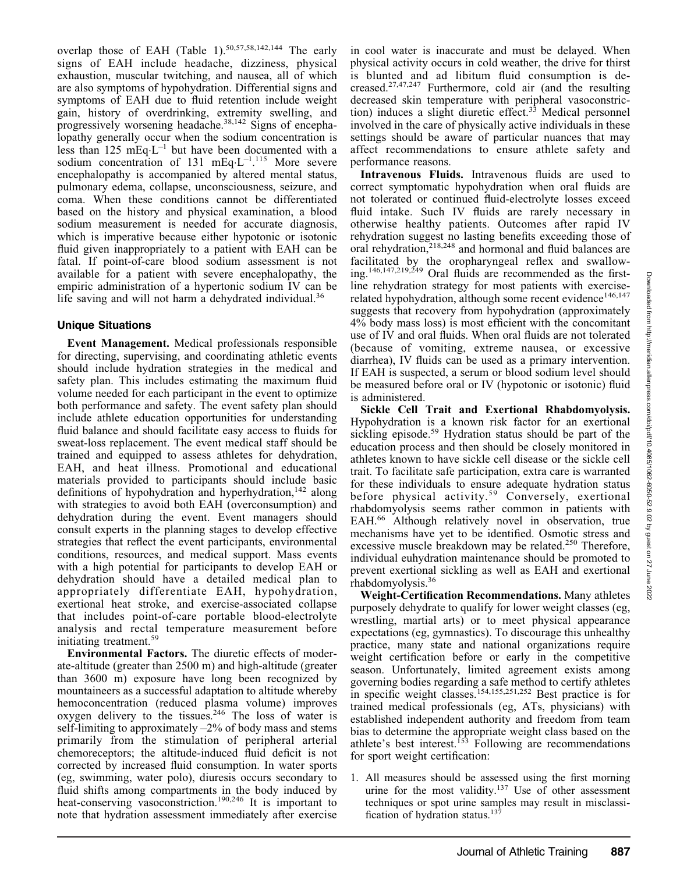overlap those of EAH (Table 1).<sup>50,57,58,142,144</sup> The early signs of EAH include headache, dizziness, physical exhaustion, muscular twitching, and nausea, all of which are also symptoms of hypohydration. Differential signs and symptoms of EAH due to fluid retention include weight gain, history of overdrinking, extremity swelling, and progressively worsening headache.38,142 Signs of encephalopathy generally occur when the sodium concentration is less than 125 mEq $\cdot$ L<sup>-1</sup> but have been documented with a sodium concentration of 131 mEq $\cdot$ L<sup>-1</sup>.<sup>115</sup> More severe encephalopathy is accompanied by altered mental status, pulmonary edema, collapse, unconsciousness, seizure, and coma. When these conditions cannot be differentiated based on the history and physical examination, a blood sodium measurement is needed for accurate diagnosis, which is imperative because either hypotonic or isotonic fluid given inappropriately to a patient with EAH can be fatal. If point-of-care blood sodium assessment is not available for a patient with severe encephalopathy, the empiric administration of a hypertonic sodium IV can be life saving and will not harm a dehydrated individual.<sup>36</sup>

## Unique Situations

Event Management. Medical professionals responsible for directing, supervising, and coordinating athletic events should include hydration strategies in the medical and safety plan. This includes estimating the maximum fluid volume needed for each participant in the event to optimize both performance and safety. The event safety plan should include athlete education opportunities for understanding fluid balance and should facilitate easy access to fluids for sweat-loss replacement. The event medical staff should be trained and equipped to assess athletes for dehydration, EAH, and heat illness. Promotional and educational materials provided to participants should include basic definitions of hypohydration and hyperhydration,<sup>142</sup> along with strategies to avoid both EAH (overconsumption) and dehydration during the event. Event managers should consult experts in the planning stages to develop effective strategies that reflect the event participants, environmental conditions, resources, and medical support. Mass events with a high potential for participants to develop EAH or dehydration should have a detailed medical plan to appropriately differentiate EAH, hypohydration, exertional heat stroke, and exercise-associated collapse that includes point-of-care portable blood-electrolyte analysis and rectal temperature measurement before initiating treatment.<sup>59</sup>

Environmental Factors. The diuretic effects of moderate-altitude (greater than 2500 m) and high-altitude (greater than 3600 m) exposure have long been recognized by mountaineers as a successful adaptation to altitude whereby hemoconcentration (reduced plasma volume) improves oxygen delivery to the tissues.246 The loss of water is self-limiting to approximately –2% of body mass and stems primarily from the stimulation of peripheral arterial chemoreceptors; the altitude-induced fluid deficit is not corrected by increased fluid consumption. In water sports (eg, swimming, water polo), diuresis occurs secondary to fluid shifts among compartments in the body induced by heat-conserving vasoconstriction.<sup>190,246</sup> It is important to note that hydration assessment immediately after exercise

in cool water is inaccurate and must be delayed. When physical activity occurs in cold weather, the drive for thirst is blunted and ad libitum fluid consumption is decreased.<sup>27,47,247</sup> Furthermore, cold air (and the resulting decreased skin temperature with peripheral vasoconstriction) induces a slight diuretic effect. $3\overline{3}$  Medical personnel involved in the care of physically active individuals in these settings should be aware of particular nuances that may affect recommendations to ensure athlete safety and performance reasons.

Intravenous Fluids. Intravenous fluids are used to correct symptomatic hypohydration when oral fluids are not tolerated or continued fluid-electrolyte losses exceed fluid intake. Such IV fluids are rarely necessary in otherwise healthy patients. Outcomes after rapid IV rehydration suggest no lasting benefits exceeding those of oral rehydration,<sup>218,248</sup> and hormonal and fluid balances are facilitated by the oropharyngeal reflex and swallowing.146,147,219,249 Oral fluids are recommended as the firstline rehydration strategy for most patients with exerciserelated hypohydration, although some recent evidence<sup>146,147</sup> suggests that recovery from hypohydration (approximately 4% body mass loss) is most efficient with the concomitant use of IV and oral fluids. When oral fluids are not tolerated (because of vomiting, extreme nausea, or excessive diarrhea), IV fluids can be used as a primary intervention. If EAH is suspected, a serum or blood sodium level should be measured before oral or IV (hypotonic or isotonic) fluid is administered.

Sickle Cell Trait and Exertional Rhabdomyolysis. Hypohydration is a known risk factor for an exertional sickling episode.<sup>59</sup> Hydration status should be part of the education process and then should be closely monitored in athletes known to have sickle cell disease or the sickle cell trait. To facilitate safe participation, extra care is warranted for these individuals to ensure adequate hydration status before physical activity.<sup>59</sup> Conversely, exertional rhabdomyolysis seems rather common in patients with EAH.66 Although relatively novel in observation, true mechanisms have yet to be identified. Osmotic stress and excessive muscle breakdown may be related.<sup>250</sup> Therefore, individual euhydration maintenance should be promoted to prevent exertional sickling as well as EAH and exertional rhabdomyolysis.36

Weight-Certification Recommendations. Many athletes purposely dehydrate to qualify for lower weight classes (eg, wrestling, martial arts) or to meet physical appearance expectations (eg, gymnastics). To discourage this unhealthy practice, many state and national organizations require weight certification before or early in the competitive season. Unfortunately, limited agreement exists among governing bodies regarding a safe method to certify athletes in specific weight classes.154,155,251,252 Best practice is for trained medical professionals (eg, ATs, physicians) with established independent authority and freedom from team bias to determine the appropriate weight class based on the athlete's best interest.<sup>153</sup> Following are recommendations for sport weight certification:

1. All measures should be assessed using the first morning urine for the most validity.<sup>137</sup> Use of other assessment techniques or spot urine samples may result in misclassification of hydration status.<sup>137</sup>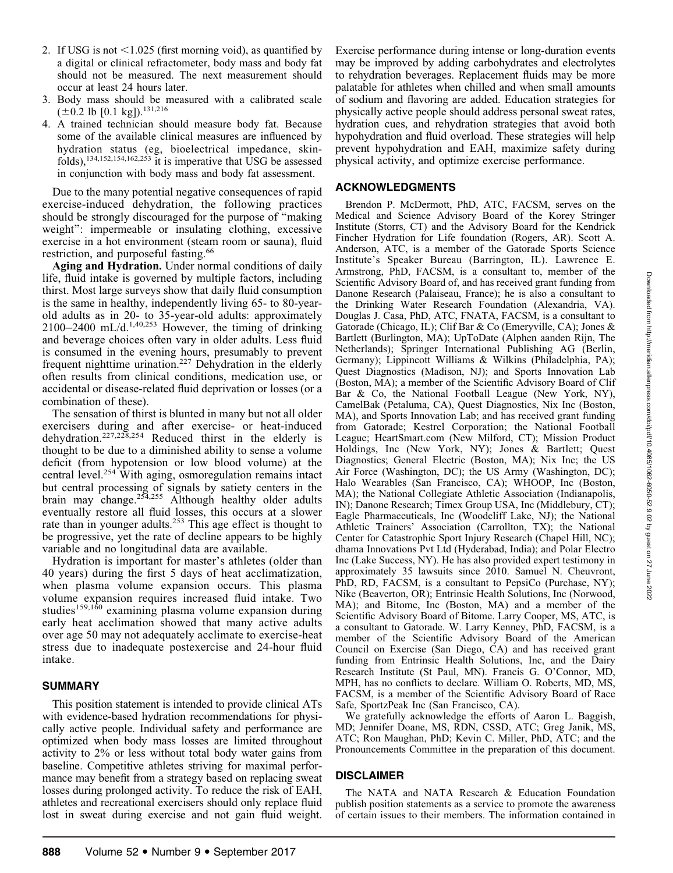- 2. If USG is not  $\leq$  1.025 (first morning void), as quantified by a digital or clinical refractometer, body mass and body fat should not be measured. The next measurement should occur at least 24 hours later.
- 3. Body mass should be measured with a calibrated scale  $(\pm 0.2$  lb [0.1 kg]).<sup>131,216</sup>
- 4. A trained technician should measure body fat. Because some of the available clinical measures are influenced by hydration status (eg, bioelectrical impedance, skinfolds),<sup>134,152,154,162,253</sup> it is imperative that USG be assessed in conjunction with body mass and body fat assessment.

Due to the many potential negative consequences of rapid exercise-induced dehydration, the following practices should be strongly discouraged for the purpose of ''making weight'': impermeable or insulating clothing, excessive exercise in a hot environment (steam room or sauna), fluid restriction, and purposeful fasting.<sup>66</sup>

Aging and Hydration. Under normal conditions of daily life, fluid intake is governed by multiple factors, including thirst. Most large surveys show that daily fluid consumption is the same in healthy, independently living 65- to 80-yearold adults as in 20- to 35-year-old adults: approximately  $2100 - 2400$  mL/d.<sup>1,40,253</sup> However, the timing of drinking and beverage choices often vary in older adults. Less fluid is consumed in the evening hours, presumably to prevent frequent nighttime urination.227 Dehydration in the elderly often results from clinical conditions, medication use, or accidental or disease-related fluid deprivation or losses (or a combination of these).

The sensation of thirst is blunted in many but not all older exercisers during and after exercise- or heat-induced dehydration.227,228,254 Reduced thirst in the elderly is thought to be due to a diminished ability to sense a volume deficit (from hypotension or low blood volume) at the central level.254 With aging, osmoregulation remains intact but central processing of signals by satiety centers in the brain may change.<sup>254,255</sup> Although healthy older adults eventually restore all fluid losses, this occurs at a slower rate than in younger adults.<sup>253</sup> This age effect is thought to be progressive, yet the rate of decline appears to be highly variable and no longitudinal data are available.

Hydration is important for master's athletes (older than 40 years) during the first 5 days of heat acclimatization, when plasma volume expansion occurs. This plasma volume expansion requires increased fluid intake. Two studies<sup>159,160</sup> examining plasma volume expansion during early heat acclimation showed that many active adults over age 50 may not adequately acclimate to exercise-heat stress due to inadequate postexercise and 24-hour fluid intake.

# SUMMARY

This position statement is intended to provide clinical ATs with evidence-based hydration recommendations for physically active people. Individual safety and performance are optimized when body mass losses are limited throughout activity to 2% or less without total body water gains from baseline. Competitive athletes striving for maximal performance may benefit from a strategy based on replacing sweat losses during prolonged activity. To reduce the risk of EAH, athletes and recreational exercisers should only replace fluid lost in sweat during exercise and not gain fluid weight.

Exercise performance during intense or long-duration events may be improved by adding carbohydrates and electrolytes to rehydration beverages. Replacement fluids may be more palatable for athletes when chilled and when small amounts of sodium and flavoring are added. Education strategies for physically active people should address personal sweat rates, hydration cues, and rehydration strategies that avoid both hypohydration and fluid overload. These strategies will help prevent hypohydration and EAH, maximize safety during physical activity, and optimize exercise performance.

## ACKNOWLEDGMENTS

Brendon P. McDermott, PhD, ATC, FACSM, serves on the Medical and Science Advisory Board of the Korey Stringer Institute (Storrs, CT) and the Advisory Board for the Kendrick Fincher Hydration for Life foundation (Rogers, AR). Scott A. Anderson, ATC, is a member of the Gatorade Sports Science Institute's Speaker Bureau (Barrington, IL). Lawrence E. Armstrong, PhD, FACSM, is a consultant to, member of the Scientific Advisory Board of, and has received grant funding from Danone Research (Palaiseau, France); he is also a consultant to the Drinking Water Research Foundation (Alexandria, VA). Douglas J. Casa, PhD, ATC, FNATA, FACSM, is a consultant to Gatorade (Chicago, IL); Clif Bar & Co (Emeryville, CA); Jones & Bartlett (Burlington, MA); UpToDate (Alphen aanden Rijn, The Netherlands); Springer International Publishing AG (Berlin, Germany); Lippincott Williams & Wilkins (Philadelphia, PA); Quest Diagnostics (Madison, NJ); and Sports Innovation Lab (Boston, MA); a member of the Scientific Advisory Board of Clif Bar & Co, the National Football League (New York, NY), CamelBak (Petaluma, CA), Quest Diagnostics, Nix Inc (Boston, MA), and Sports Innovation Lab; and has received grant funding from Gatorade; Kestrel Corporation; the National Football League; HeartSmart.com (New Milford, CT); Mission Product Holdings, Inc (New York, NY); Jones & Bartlett; Quest Diagnostics; General Electric (Boston, MA); Nix Inc; the US Air Force (Washington, DC); the US Army (Washington, DC); Halo Wearables (San Francisco, CA); WHOOP, Inc (Boston, MA); the National Collegiate Athletic Association (Indianapolis, IN); Danone Research; Timex Group USA, Inc (Middlebury, CT); Eagle Pharmaceuticals, Inc (Woodcliff Lake, NJ); the National Athletic Trainers' Association (Carrollton, TX); the National Center for Catastrophic Sport Injury Research (Chapel Hill, NC); dhama Innovations Pvt Ltd (Hyderabad, India); and Polar Electro Inc (Lake Success, NY). He has also provided expert testimony in approximately 35 lawsuits since 2010. Samuel N. Cheuvront, PhD, RD, FACSM, is a consultant to PepsiCo (Purchase, NY); Nike (Beaverton, OR); Entrinsic Health Solutions, Inc (Norwood, MA); and Bitome, Inc (Boston, MA) and a member of the Scientific Advisory Board of Bitome. Larry Cooper, MS, ATC, is a consultant to Gatorade. W. Larry Kenney, PhD, FACSM, is a member of the Scientific Advisory Board of the American Council on Exercise (San Diego, CA) and has received grant funding from Entrinsic Health Solutions, Inc, and the Dairy Research Institute (St Paul, MN). Francis G. O'Connor, MD, MPH, has no conflicts to declare. William O. Roberts, MD, MS, FACSM, is a member of the Scientific Advisory Board of Race Safe, SportzPeak Inc (San Francisco, CA).

We gratefully acknowledge the efforts of Aaron L. Baggish, MD; Jennifer Doane, MS, RDN, CSSD, ATC; Greg Janik, MS, ATC; Ron Maughan, PhD; Kevin C. Miller, PhD, ATC; and the Pronouncements Committee in the preparation of this document.

## DISCLAIMER

The NATA and NATA Research & Education Foundation publish position statements as a service to promote the awareness of certain issues to their members. The information contained in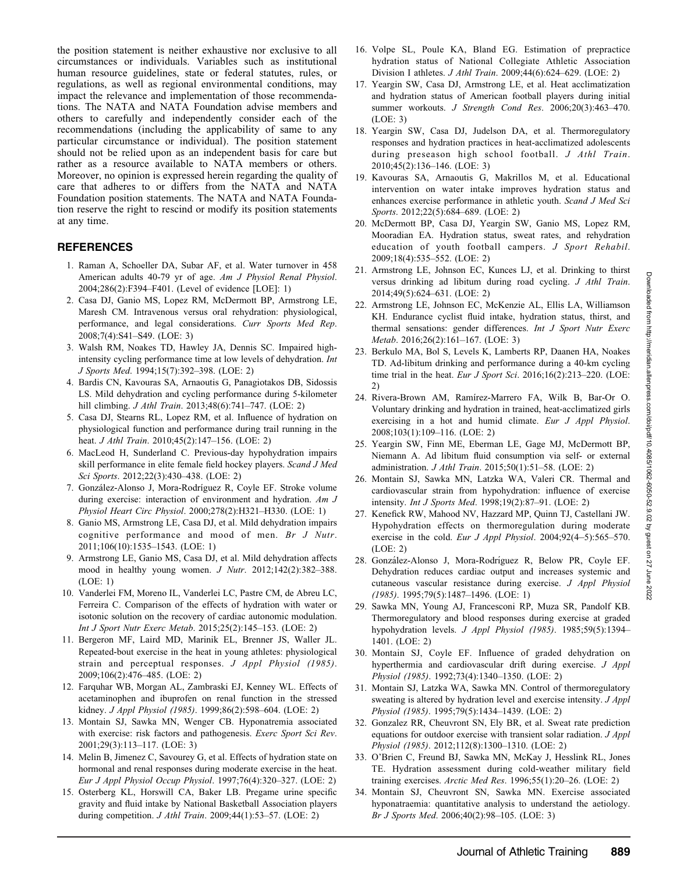the position statement is neither exhaustive nor exclusive to all circumstances or individuals. Variables such as institutional human resource guidelines, state or federal statutes, rules, or regulations, as well as regional environmental conditions, may impact the relevance and implementation of those recommendations. The NATA and NATA Foundation advise members and others to carefully and independently consider each of the recommendations (including the applicability of same to any particular circumstance or individual). The position statement should not be relied upon as an independent basis for care but rather as a resource available to NATA members or others. Moreover, no opinion is expressed herein regarding the quality of care that adheres to or differs from the NATA and NATA Foundation position statements. The NATA and NATA Foundation reserve the right to rescind or modify its position statements at any time.

## REFERENCES

- 1. Raman A, Schoeller DA, Subar AF, et al. Water turnover in 458 American adults 40-79 yr of age. Am J Physiol Renal Physiol. 2004;286(2):F394–F401. (Level of evidence [LOE]: 1)
- 2. Casa DJ, Ganio MS, Lopez RM, McDermott BP, Armstrong LE, Maresh CM. Intravenous versus oral rehydration: physiological, performance, and legal considerations. Curr Sports Med Rep. 2008;7(4):S41–S49. (LOE: 3)
- 3. Walsh RM, Noakes TD, Hawley JA, Dennis SC. Impaired highintensity cycling performance time at low levels of dehydration. Int J Sports Med. 1994;15(7):392–398. (LOE: 2)
- 4. Bardis CN, Kavouras SA, Arnaoutis G, Panagiotakos DB, Sidossis LS. Mild dehydration and cycling performance during 5-kilometer hill climbing. *J Athl Train*. 2013;48(6):741-747. (LOE: 2)
- 5. Casa DJ, Stearns RL, Lopez RM, et al. Influence of hydration on physiological function and performance during trail running in the heat. *J Athl Train*. 2010;45(2):147-156. (LOE: 2)
- 6. MacLeod H, Sunderland C. Previous-day hypohydration impairs skill performance in elite female field hockey players. Scand J Med Sci Sports. 2012;22(3):430–438. (LOE: 2)
- 7. González-Alonso J, Mora-Rodríguez R, Coyle EF. Stroke volume during exercise: interaction of environment and hydration. Am J Physiol Heart Circ Physiol. 2000;278(2):H321–H330. (LOE: 1)
- 8. Ganio MS, Armstrong LE, Casa DJ, et al. Mild dehydration impairs cognitive performance and mood of men. Br J Nutr. 2011;106(10):1535–1543. (LOE: 1)
- 9. Armstrong LE, Ganio MS, Casa DJ, et al. Mild dehydration affects mood in healthy young women. J Nutr. 2012;142(2):382–388. (LOE: 1)
- 10. Vanderlei FM, Moreno IL, Vanderlei LC, Pastre CM, de Abreu LC, Ferreira C. Comparison of the effects of hydration with water or isotonic solution on the recovery of cardiac autonomic modulation. Int J Sport Nutr Exerc Metab. 2015;25(2):145–153. (LOE: 2)
- 11. Bergeron MF, Laird MD, Marinik EL, Brenner JS, Waller JL. Repeated-bout exercise in the heat in young athletes: physiological strain and perceptual responses. J Appl Physiol (1985). 2009;106(2):476–485. (LOE: 2)
- 12. Farquhar WB, Morgan AL, Zambraski EJ, Kenney WL. Effects of acetaminophen and ibuprofen on renal function in the stressed kidney. J Appl Physiol (1985). 1999;86(2):598–604. (LOE: 2)
- 13. Montain SJ, Sawka MN, Wenger CB. Hyponatremia associated with exercise: risk factors and pathogenesis. Exerc Sport Sci Rev. 2001;29(3):113–117. (LOE: 3)
- 14. Melin B, Jimenez C, Savourey G, et al. Effects of hydration state on hormonal and renal responses during moderate exercise in the heat. Eur J Appl Physiol Occup Physiol. 1997;76(4):320–327. (LOE: 2)
- 15. Osterberg KL, Horswill CA, Baker LB. Pregame urine specific gravity and fluid intake by National Basketball Association players during competition. *J Athl Train.* 2009;44(1):53–57. (LOE: 2)
- 16. Volpe SL, Poule KA, Bland EG. Estimation of prepractice hydration status of National Collegiate Athletic Association Division I athletes. J Athl Train. 2009;44(6):624–629. (LOE: 2)
- 17. Yeargin SW, Casa DJ, Armstrong LE, et al. Heat acclimatization and hydration status of American football players during initial summer workouts. J Strength Cond Res. 2006;20(3):463–470. (LOE: 3)
- 18. Yeargin SW, Casa DJ, Judelson DA, et al. Thermoregulatory responses and hydration practices in heat-acclimatized adolescents during preseason high school football. J Athl Train. 2010;45(2):136–146. (LOE: 3)
- 19. Kavouras SA, Arnaoutis G, Makrillos M, et al. Educational intervention on water intake improves hydration status and enhances exercise performance in athletic youth. Scand J Med Sci Sports. 2012;22(5):684–689. (LOE: 2)
- 20. McDermott BP, Casa DJ, Yeargin SW, Ganio MS, Lopez RM, Mooradian EA. Hydration status, sweat rates, and rehydration education of youth football campers. J Sport Rehabil. 2009;18(4):535–552. (LOE: 2)
- 21. Armstrong LE, Johnson EC, Kunces LJ, et al. Drinking to thirst versus drinking ad libitum during road cycling. J Athl Train. 2014;49(5):624–631. (LOE: 2)
- 22. Armstrong LE, Johnson EC, McKenzie AL, Ellis LA, Williamson KH. Endurance cyclist fluid intake, hydration status, thirst, and thermal sensations: gender differences. Int J Sport Nutr Exerc Metab. 2016;26(2):161–167. (LOE: 3)
- 23. Berkulo MA, Bol S, Levels K, Lamberts RP, Daanen HA, Noakes TD. Ad-libitum drinking and performance during a 40-km cycling time trial in the heat. Eur J Sport Sci. 2016;16(2):213-220. (LOE: 2)
- 24. Rivera-Brown AM, Ramírez-Marrero FA, Wilk B, Bar-Or O. Voluntary drinking and hydration in trained, heat-acclimatized girls exercising in a hot and humid climate. Eur J Appl Physiol. 2008;103(1):109–116. (LOE: 2)
- 25. Yeargin SW, Finn ME, Eberman LE, Gage MJ, McDermott BP, Niemann A. Ad libitum fluid consumption via self- or external administration. J Athl Train. 2015;50(1):51–58. (LOE: 2)
- 26. Montain SJ, Sawka MN, Latzka WA, Valeri CR. Thermal and cardiovascular strain from hypohydration: influence of exercise intensity. Int J Sports Med. 1998;19(2):87–91. (LOE: 2)
- 27. Kenefick RW, Mahood NV, Hazzard MP, Quinn TJ, Castellani JW. Hypohydration effects on thermoregulation during moderate exercise in the cold. Eur J Appl Physiol.  $2004;92(4-5):565-570$ . (LOE: 2)
- 28. González-Alonso J, Mora-Rodríguez R, Below PR, Coyle EF. Dehydration reduces cardiac output and increases systemic and cutaneous vascular resistance during exercise. J Appl Physiol (1985). 1995;79(5):1487–1496. (LOE: 1)
- 29. Sawka MN, Young AJ, Francesconi RP, Muza SR, Pandolf KB. Thermoregulatory and blood responses during exercise at graded hypohydration levels. J Appl Physiol (1985). 1985;59(5):1394– 1401. (LOE: 2)
- 30. Montain SJ, Coyle EF. Influence of graded dehydration on hyperthermia and cardiovascular drift during exercise. J Appl Physiol (1985). 1992;73(4):1340–1350. (LOE: 2)
- 31. Montain SJ, Latzka WA, Sawka MN. Control of thermoregulatory sweating is altered by hydration level and exercise intensity. J Appl Physiol (1985). 1995;79(5):1434–1439. (LOE: 2)
- 32. Gonzalez RR, Cheuvront SN, Ely BR, et al. Sweat rate prediction equations for outdoor exercise with transient solar radiation. J Appl Physiol (1985). 2012;112(8):1300–1310. (LOE: 2)
- 33. O'Brien C, Freund BJ, Sawka MN, McKay J, Hesslink RL, Jones TE. Hydration assessment during cold-weather military field training exercises. Arctic Med Res. 1996;55(1):20–26. (LOE: 2)
- 34. Montain SJ, Cheuvront SN, Sawka MN. Exercise associated hyponatraemia: quantitative analysis to understand the aetiology. Br J Sports Med. 2006;40(2):98–105. (LOE: 3)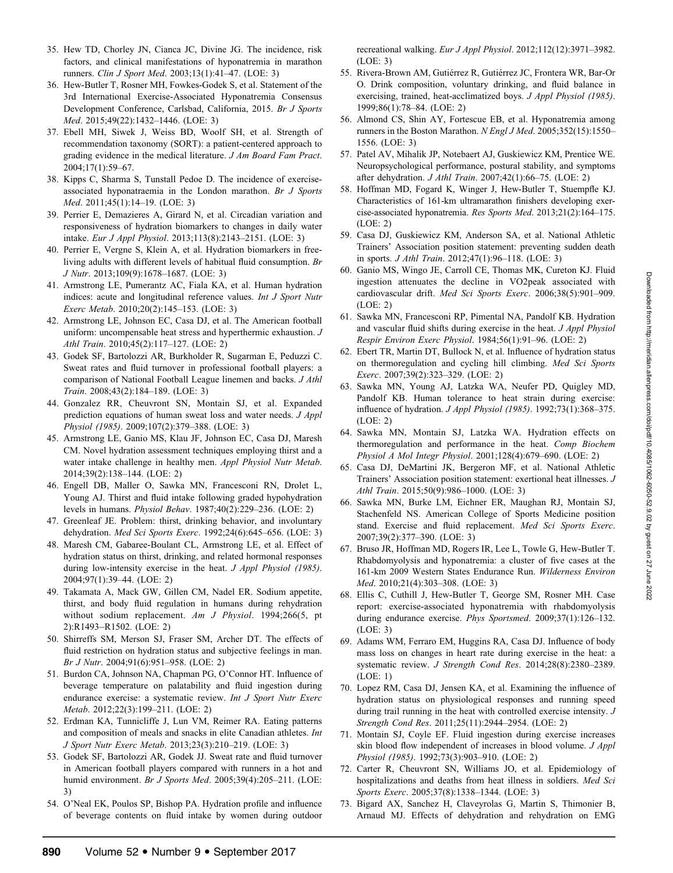- 35. Hew TD, Chorley JN, Cianca JC, Divine JG. The incidence, risk factors, and clinical manifestations of hyponatremia in marathon runners. Clin J Sport Med. 2003;13(1):41–47. (LOE: 3)
- 36. Hew-Butler T, Rosner MH, Fowkes-Godek S, et al. Statement of the 3rd International Exercise-Associated Hyponatremia Consensus Development Conference, Carlsbad, California, 2015. Br J Sports Med. 2015;49(22):1432–1446. (LOE: 3)
- 37. Ebell MH, Siwek J, Weiss BD, Woolf SH, et al. Strength of recommendation taxonomy (SORT): a patient-centered approach to grading evidence in the medical literature. J Am Board Fam Pract. 2004;17(1):59–67.
- 38. Kipps C, Sharma S, Tunstall Pedoe D. The incidence of exerciseassociated hyponatraemia in the London marathon. Br J Sports Med. 2011;45(1):14–19. (LOE: 3)
- 39. Perrier E, Demazieres A, Girard N, et al. Circadian variation and responsiveness of hydration biomarkers to changes in daily water intake. Eur J Appl Physiol. 2013;113(8):2143–2151. (LOE: 3)
- 40. Perrier E, Vergne S, Klein A, et al. Hydration biomarkers in freeliving adults with different levels of habitual fluid consumption. Br J Nutr. 2013;109(9):1678–1687. (LOE: 3)
- 41. Armstrong LE, Pumerantz AC, Fiala KA, et al. Human hydration indices: acute and longitudinal reference values. Int J Sport Nutr Exerc Metab. 2010;20(2):145–153. (LOE: 3)
- 42. Armstrong LE, Johnson EC, Casa DJ, et al. The American football uniform: uncompensable heat stress and hyperthermic exhaustion. J Athl Train. 2010;45(2):117–127. (LOE: 2)
- 43. Godek SF, Bartolozzi AR, Burkholder R, Sugarman E, Peduzzi C. Sweat rates and fluid turnover in professional football players: a comparison of National Football League linemen and backs. J Athl Train. 2008;43(2):184–189. (LOE: 3)
- 44. Gonzalez RR, Cheuvront SN, Montain SJ, et al. Expanded prediction equations of human sweat loss and water needs. J Appl Physiol (1985). 2009;107(2):379–388. (LOE: 3)
- 45. Armstrong LE, Ganio MS, Klau JF, Johnson EC, Casa DJ, Maresh CM. Novel hydration assessment techniques employing thirst and a water intake challenge in healthy men. Appl Physiol Nutr Metab. 2014;39(2):138–144. (LOE: 2)
- 46. Engell DB, Maller O, Sawka MN, Francesconi RN, Drolet L, Young AJ. Thirst and fluid intake following graded hypohydration levels in humans. Physiol Behav. 1987;40(2):229–236. (LOE: 2)
- 47. Greenleaf JE. Problem: thirst, drinking behavior, and involuntary dehydration. Med Sci Sports Exerc. 1992;24(6):645–656. (LOE: 3)
- 48. Maresh CM, Gabaree-Boulant CL, Armstrong LE, et al. Effect of hydration status on thirst, drinking, and related hormonal responses during low-intensity exercise in the heat. *J Appl Physiol (1985)*. 2004;97(1):39–44. (LOE: 2)
- 49. Takamata A, Mack GW, Gillen CM, Nadel ER. Sodium appetite, thirst, and body fluid regulation in humans during rehydration without sodium replacement. Am J Physiol. 1994;266(5, pt 2):R1493-R1502. (LOE: 2)
- 50. Shirreffs SM, Merson SJ, Fraser SM, Archer DT. The effects of fluid restriction on hydration status and subjective feelings in man. Br J Nutr. 2004;91(6):951–958. (LOE: 2)
- 51. Burdon CA, Johnson NA, Chapman PG, O'Connor HT. Influence of beverage temperature on palatability and fluid ingestion during endurance exercise: a systematic review. Int J Sport Nutr Exerc Metab. 2012;22(3):199–211. (LOE: 2)
- 52. Erdman KA, Tunnicliffe J, Lun VM, Reimer RA. Eating patterns and composition of meals and snacks in elite Canadian athletes. Int J Sport Nutr Exerc Metab. 2013;23(3):210–219. (LOE: 3)
- 53. Godek SF, Bartolozzi AR, Godek JJ. Sweat rate and fluid turnover in American football players compared with runners in a hot and humid environment. Br J Sports Med. 2005;39(4):205-211. (LOE: 3)
- 54. O'Neal EK, Poulos SP, Bishop PA. Hydration profile and influence of beverage contents on fluid intake by women during outdoor

recreational walking. Eur J Appl Physiol. 2012;112(12):3971–3982. (LOE: 3)

- 55. Rivera-Brown AM, Gutiérrez R, Gutiérrez JC, Frontera WR, Bar-Or O. Drink composition, voluntary drinking, and fluid balance in exercising, trained, heat-acclimatized boys. J Appl Physiol (1985). 1999;86(1):78–84. (LOE: 2)
- 56. Almond CS, Shin AY, Fortescue EB, et al. Hyponatremia among runners in the Boston Marathon. N Engl J Med. 2005;352(15):1550– 1556. (LOE: 3)
- 57. Patel AV, Mihalik JP, Notebaert AJ, Guskiewicz KM, Prentice WE. Neuropsychological performance, postural stability, and symptoms after dehydration. J Athl Train. 2007;42(1):66–75. (LOE: 2)
- 58. Hoffman MD, Fogard K, Winger J, Hew-Butler T, Stuempfle KJ. Characteristics of 161-km ultramarathon finishers developing exercise-associated hyponatremia. Res Sports Med. 2013;21(2):164–175. (LOE: 2)
- 59. Casa DJ, Guskiewicz KM, Anderson SA, et al. National Athletic Trainers' Association position statement: preventing sudden death in sports. J Athl Train. 2012;47(1):96–118. (LOE: 3)
- 60. Ganio MS, Wingo JE, Carroll CE, Thomas MK, Cureton KJ. Fluid ingestion attenuates the decline in VO2peak associated with cardiovascular drift. Med Sci Sports Exerc. 2006;38(5):901–909. (LOE: 2)
- 61. Sawka MN, Francesconi RP, Pimental NA, Pandolf KB. Hydration and vascular fluid shifts during exercise in the heat. J Appl Physiol Respir Environ Exerc Physiol. 1984;56(1):91–96. (LOE: 2)
- 62. Ebert TR, Martin DT, Bullock N, et al. Influence of hydration status on thermoregulation and cycling hill climbing. Med Sci Sports Exerc. 2007;39(2):323–329. (LOE: 2)
- 63. Sawka MN, Young AJ, Latzka WA, Neufer PD, Quigley MD, Pandolf KB. Human tolerance to heat strain during exercise: influence of hydration. J Appl Physiol (1985). 1992;73(1):368–375. (LOE: 2)
- 64. Sawka MN, Montain SJ, Latzka WA. Hydration effects on thermoregulation and performance in the heat. Comp Biochem Physiol A Mol Integr Physiol. 2001;128(4):679–690. (LOE: 2)
- 65. Casa DJ, DeMartini JK, Bergeron MF, et al. National Athletic Trainers' Association position statement: exertional heat illnesses. J Athl Train. 2015;50(9):986–1000. (LOE: 3)
- 66. Sawka MN, Burke LM, Eichner ER, Maughan RJ, Montain SJ, Stachenfeld NS. American College of Sports Medicine position stand. Exercise and fluid replacement. Med Sci Sports Exerc. 2007;39(2):377–390. (LOE: 3)
- 67. Bruso JR, Hoffman MD, Rogers IR, Lee L, Towle G, Hew-Butler T. Rhabdomyolysis and hyponatremia: a cluster of five cases at the 161-km 2009 Western States Endurance Run. Wilderness Environ Med. 2010;21(4):303–308. (LOE: 3)
- 68. Ellis C, Cuthill J, Hew-Butler T, George SM, Rosner MH. Case report: exercise-associated hyponatremia with rhabdomyolysis during endurance exercise. Phys Sportsmed. 2009;37(1):126-132. (LOE: 3)
- 69. Adams WM, Ferraro EM, Huggins RA, Casa DJ. Influence of body mass loss on changes in heart rate during exercise in the heat: a systematic review. J Strength Cond Res. 2014;28(8):2380–2389. (LOE: 1)
- 70. Lopez RM, Casa DJ, Jensen KA, et al. Examining the influence of hydration status on physiological responses and running speed during trail running in the heat with controlled exercise intensity. J Strength Cond Res. 2011;25(11):2944–2954. (LOE: 2)
- 71. Montain SJ, Coyle EF. Fluid ingestion during exercise increases skin blood flow independent of increases in blood volume. J Appl Physiol (1985). 1992;73(3):903–910. (LOE: 2)
- 72. Carter R, Cheuvront SN, Williams JO, et al. Epidemiology of hospitalizations and deaths from heat illness in soldiers. Med Sci Sports Exerc. 2005;37(8):1338–1344. (LOE: 3)
- 73. Bigard AX, Sanchez H, Claveyrolas G, Martin S, Thimonier B, Arnaud MJ. Effects of dehydration and rehydration on EMG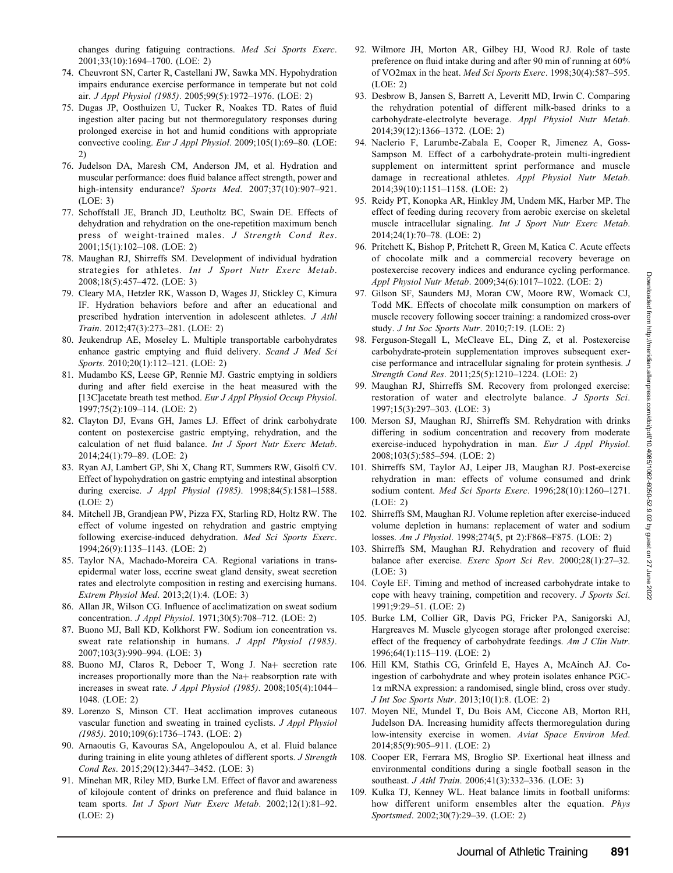- 74. Cheuvront SN, Carter R, Castellani JW, Sawka MN. Hypohydration impairs endurance exercise performance in temperate but not cold air. J Appl Physiol (1985). 2005;99(5):1972–1976. (LOE: 2)
- 75. Dugas JP, Oosthuizen U, Tucker R, Noakes TD. Rates of fluid ingestion alter pacing but not thermoregulatory responses during prolonged exercise in hot and humid conditions with appropriate convective cooling. Eur J Appl Physiol. 2009;105(1):69–80. (LOE: 2)
- 76. Judelson DA, Maresh CM, Anderson JM, et al. Hydration and muscular performance: does fluid balance affect strength, power and high-intensity endurance? Sports Med. 2007;37(10):907-921. (LOE: 3)
- 77. Schoffstall JE, Branch JD, Leutholtz BC, Swain DE. Effects of dehydration and rehydration on the one-repetition maximum bench press of weight-trained males. J Strength Cond Res. 2001;15(1):102–108. (LOE: 2)
- 78. Maughan RJ, Shirreffs SM. Development of individual hydration strategies for athletes. Int J Sport Nutr Exerc Metab. 2008;18(5):457–472. (LOE: 3)
- 79. Cleary MA, Hetzler RK, Wasson D, Wages JJ, Stickley C, Kimura IF. Hydration behaviors before and after an educational and prescribed hydration intervention in adolescent athletes. J Athl Train. 2012;47(3):273–281. (LOE: 2)
- 80. Jeukendrup AE, Moseley L. Multiple transportable carbohydrates enhance gastric emptying and fluid delivery. Scand J Med Sci Sports. 2010;20(1):112-121. (LOE: 2)
- 81. Mudambo KS, Leese GP, Rennie MJ. Gastric emptying in soldiers during and after field exercise in the heat measured with the [13C]acetate breath test method. Eur J Appl Physiol Occup Physiol. 1997;75(2):109–114. (LOE: 2)
- 82. Clayton DJ, Evans GH, James LJ. Effect of drink carbohydrate content on postexercise gastric emptying, rehydration, and the calculation of net fluid balance. Int J Sport Nutr Exerc Metab. 2014;24(1):79–89. (LOE: 2)
- 83. Ryan AJ, Lambert GP, Shi X, Chang RT, Summers RW, Gisolfi CV. Effect of hypohydration on gastric emptying and intestinal absorption during exercise. *J Appl Physiol (1985)*. 1998;84(5):1581-1588.  $(LOE: 2)$
- 84. Mitchell JB, Grandjean PW, Pizza FX, Starling RD, Holtz RW. The effect of volume ingested on rehydration and gastric emptying following exercise-induced dehydration. Med Sci Sports Exerc. 1994;26(9):1135–1143. (LOE: 2)
- 85. Taylor NA, Machado-Moreira CA. Regional variations in transepidermal water loss, eccrine sweat gland density, sweat secretion rates and electrolyte composition in resting and exercising humans. Extrem Physiol Med. 2013;2(1):4. (LOE: 3)
- 86. Allan JR, Wilson CG. Influence of acclimatization on sweat sodium concentration. J Appl Physiol. 1971;30(5):708–712. (LOE: 2)
- 87. Buono MJ, Ball KD, Kolkhorst FW. Sodium ion concentration vs. sweat rate relationship in humans. J Appl Physiol (1985). 2007;103(3):990–994. (LOE: 3)
- 88. Buono MJ, Claros R, Deboer T, Wong J. Na+ secretion rate increases proportionally more than the Na+ reabsorption rate with increases in sweat rate. J Appl Physiol (1985). 2008;105(4):1044– 1048. (LOE: 2)
- 89. Lorenzo S, Minson CT. Heat acclimation improves cutaneous vascular function and sweating in trained cyclists. J Appl Physiol (1985). 2010;109(6):1736–1743. (LOE: 2)
- 90. Arnaoutis G, Kavouras SA, Angelopoulou A, et al. Fluid balance during training in elite young athletes of different sports. *J Strength* Cond Res. 2015;29(12):3447–3452. (LOE: 3)
- 91. Minehan MR, Riley MD, Burke LM. Effect of flavor and awareness of kilojoule content of drinks on preference and fluid balance in team sports. Int J Sport Nutr Exerc Metab. 2002;12(1):81-92. (LOE: 2)
- 92. Wilmore JH, Morton AR, Gilbey HJ, Wood RJ. Role of taste preference on fluid intake during and after 90 min of running at 60% of VO2max in the heat. Med Sci Sports Exerc. 1998;30(4):587–595. (LOE: 2)
- 93. Desbrow B, Jansen S, Barrett A, Leveritt MD, Irwin C. Comparing the rehydration potential of different milk-based drinks to a carbohydrate-electrolyte beverage. Appl Physiol Nutr Metab. 2014;39(12):1366–1372. (LOE: 2)
- 94. Naclerio F, Larumbe-Zabala E, Cooper R, Jimenez A, Goss-Sampson M. Effect of a carbohydrate-protein multi-ingredient supplement on intermittent sprint performance and muscle damage in recreational athletes. Appl Physiol Nutr Metab. 2014;39(10):1151–1158. (LOE: 2)
- 95. Reidy PT, Konopka AR, Hinkley JM, Undem MK, Harber MP. The effect of feeding during recovery from aerobic exercise on skeletal muscle intracellular signaling. Int J Sport Nutr Exerc Metab. 2014;24(1):70–78. (LOE: 2)
- 96. Pritchett K, Bishop P, Pritchett R, Green M, Katica C. Acute effects of chocolate milk and a commercial recovery beverage on postexercise recovery indices and endurance cycling performance. Appl Physiol Nutr Metab. 2009;34(6):1017–1022. (LOE: 2)
- 97. Gilson SF, Saunders MJ, Moran CW, Moore RW, Womack CJ, Todd MK. Effects of chocolate milk consumption on markers of muscle recovery following soccer training: a randomized cross-over study. J Int Soc Sports Nutr. 2010;7:19. (LOE: 2)
- 98. Ferguson-Stegall L, McCleave EL, Ding Z, et al. Postexercise carbohydrate-protein supplementation improves subsequent exercise performance and intracellular signaling for protein synthesis. J Strength Cond Res. 2011;25(5):1210–1224. (LOE: 2)
- 99. Maughan RJ, Shirreffs SM. Recovery from prolonged exercise: restoration of water and electrolyte balance. J Sports Sci. 1997;15(3):297–303. (LOE: 3)
- 100. Merson SJ, Maughan RJ, Shirreffs SM. Rehydration with drinks differing in sodium concentration and recovery from moderate exercise-induced hypohydration in man. Eur J Appl Physiol. 2008;103(5):585–594. (LOE: 2)
- 101. Shirreffs SM, Taylor AJ, Leiper JB, Maughan RJ. Post-exercise rehydration in man: effects of volume consumed and drink sodium content. Med Sci Sports Exerc. 1996;28(10):1260–1271. (LOE: 2)
- 102. Shirreffs SM, Maughan RJ. Volume repletion after exercise-induced volume depletion in humans: replacement of water and sodium losses. Am J Physiol. 1998;274(5, pt 2):F868-F875. (LOE: 2)
- 103. Shirreffs SM, Maughan RJ. Rehydration and recovery of fluid balance after exercise. Exerc Sport Sci Rev. 2000;28(1):27-32. (LOE: 3)
- 104. Coyle EF. Timing and method of increased carbohydrate intake to cope with heavy training, competition and recovery. J Sports Sci. 1991;9:29–51. (LOE: 2)
- 105. Burke LM, Collier GR, Davis PG, Fricker PA, Sanigorski AJ, Hargreaves M. Muscle glycogen storage after prolonged exercise: effect of the frequency of carbohydrate feedings. Am J Clin Nutr. 1996;64(1):115–119. (LOE: 2)
- 106. Hill KM, Stathis CG, Grinfeld E, Hayes A, McAinch AJ. Coingestion of carbohydrate and whey protein isolates enhance PGC-1a mRNA expression: a randomised, single blind, cross over study. J Int Soc Sports Nutr. 2013;10(1):8. (LOE: 2)
- 107. Moyen NE, Mundel T, Du Bois AM, Ciccone AB, Morton RH, Judelson DA. Increasing humidity affects thermoregulation during low-intensity exercise in women. Aviat Space Environ Med. 2014;85(9):905–911. (LOE: 2)
- 108. Cooper ER, Ferrara MS, Broglio SP. Exertional heat illness and environmental conditions during a single football season in the southeast. J Athl Train. 2006;41(3):332–336. (LOE: 3)
- 109. Kulka TJ, Kenney WL. Heat balance limits in football uniforms: how different uniform ensembles alter the equation. Phys Sportsmed. 2002;30(7):29–39. (LOE: 2)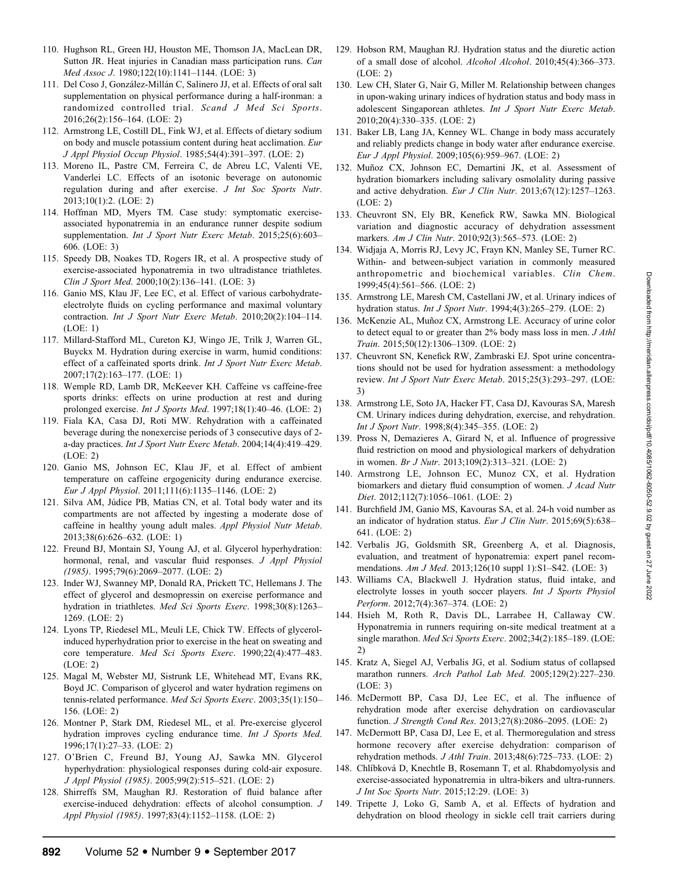- 110. Hughson RL, Green HJ, Houston ME, Thomson JA, MacLean DR, Sutton JR. Heat injuries in Canadian mass participation runs. Can Med Assoc J. 1980;122(10):1141–1144. (LOE: 3)
- 111. Del Coso J, González-Millán C, Salinero JJ, et al. Effects of oral salt supplementation on physical performance during a half-ironman: a randomized controlled trial. Scand J Med Sci Sports. 2016;26(2):156–164. (LOE: 2)
- 112. Armstrong LE, Costill DL, Fink WJ, et al. Effects of dietary sodium on body and muscle potassium content during heat acclimation. Eur J Appl Physiol Occup Physiol. 1985;54(4):391–397. (LOE: 2)
- 113. Moreno IL, Pastre CM, Ferreira C, de Abreu LC, Valenti VE, Vanderlei LC. Effects of an isotonic beverage on autonomic regulation during and after exercise. J Int Soc Sports Nutr. 2013;10(1):2. (LOE: 2)
- 114. Hoffman MD, Myers TM. Case study: symptomatic exerciseassociated hyponatremia in an endurance runner despite sodium supplementation. Int J Sport Nutr Exerc Metab. 2015;25(6):603-606. (LOE: 3)
- 115. Speedy DB, Noakes TD, Rogers IR, et al. A prospective study of exercise-associated hyponatremia in two ultradistance triathletes. Clin J Sport Med. 2000;10(2):136–141. (LOE: 3)
- 116. Ganio MS, Klau JF, Lee EC, et al. Effect of various carbohydrateelectrolyte fluids on cycling performance and maximal voluntary contraction. Int J Sport Nutr Exerc Metab. 2010;20(2):104-114. (LOE: 1)
- 117. Millard-Stafford ML, Cureton KJ, Wingo JE, Trilk J, Warren GL, Buyckx M. Hydration during exercise in warm, humid conditions: effect of a caffeinated sports drink. Int J Sport Nutr Exerc Metab. 2007;17(2):163–177. (LOE: 1)
- 118. Wemple RD, Lamb DR, McKeever KH. Caffeine vs caffeine-free sports drinks: effects on urine production at rest and during prolonged exercise. Int J Sports Med. 1997;18(1):40–46. (LOE: 2)
- 119. Fiala KA, Casa DJ, Roti MW. Rehydration with a caffeinated beverage during the nonexercise periods of 3 consecutive days of 2 a-day practices. Int J Sport Nutr Exerc Metab. 2004;14(4):419–429. (LOE: 2)
- 120. Ganio MS, Johnson EC, Klau JF, et al. Effect of ambient temperature on caffeine ergogenicity during endurance exercise. Eur J Appl Physiol. 2011;111(6):1135–1146. (LOE: 2)
- 121. Silva AM, Júdice PB, Matias CN, et al. Total body water and its compartments are not affected by ingesting a moderate dose of caffeine in healthy young adult males. Appl Physiol Nutr Metab. 2013;38(6):626–632. (LOE: 1)
- 122. Freund BJ, Montain SJ, Young AJ, et al. Glycerol hyperhydration: hormonal, renal, and vascular fluid responses. *J Appl Physiol* (1985). 1995;79(6):2069–2077. (LOE: 2)
- 123. Inder WJ, Swanney MP, Donald RA, Prickett TC, Hellemans J. The effect of glycerol and desmopressin on exercise performance and hydration in triathletes. Med Sci Sports Exerc. 1998;30(8):1263– 1269. (LOE: 2)
- 124. Lyons TP, Riedesel ML, Meuli LE, Chick TW. Effects of glycerolinduced hyperhydration prior to exercise in the heat on sweating and core temperature. Med Sci Sports Exerc. 1990;22(4):477–483. (LOE: 2)
- 125. Magal M, Webster MJ, Sistrunk LE, Whitehead MT, Evans RK, Boyd JC. Comparison of glycerol and water hydration regimens on tennis-related performance. Med Sci Sports Exerc. 2003;35(1):150– 156. (LOE: 2)
- 126. Montner P, Stark DM, Riedesel ML, et al. Pre-exercise glycerol hydration improves cycling endurance time. Int J Sports Med. 1996;17(1):27–33. (LOE: 2)
- 127. O'Brien C, Freund BJ, Young AJ, Sawka MN. Glycerol hyperhydration: physiological responses during cold-air exposure. J Appl Physiol (1985). 2005;99(2):515–521. (LOE: 2)
- 128. Shirreffs SM, Maughan RJ. Restoration of fluid balance after exercise-induced dehydration: effects of alcohol consumption. J Appl Physiol (1985). 1997;83(4):1152–1158. (LOE: 2)
- 129. Hobson RM, Maughan RJ. Hydration status and the diuretic action of a small dose of alcohol. Alcohol Alcohol. 2010;45(4):366–373. (LOE: 2)
- 130. Lew CH, Slater G, Nair G, Miller M. Relationship between changes in upon-waking urinary indices of hydration status and body mass in adolescent Singaporean athletes. Int J Sport Nutr Exerc Metab. 2010;20(4):330–335. (LOE: 2)
- 131. Baker LB, Lang JA, Kenney WL. Change in body mass accurately and reliably predicts change in body water after endurance exercise. Eur J Appl Physiol. 2009;105(6):959–967. (LOE: 2)
- 132. Muñoz CX, Johnson EC, Demartini JK, et al. Assessment of hydration biomarkers including salivary osmolality during passive and active dehydration. Eur J Clin Nutr. 2013;67(12):1257–1263. (LOE: 2)
- 133. Cheuvront SN, Ely BR, Kenefick RW, Sawka MN. Biological variation and diagnostic accuracy of dehydration assessment markers. Am J Clin Nutr. 2010;92(3):565–573. (LOE: 2)
- 134. Widjaja A, Morris RJ, Levy JC, Frayn KN, Manley SE, Turner RC. Within- and between-subject variation in commonly measured anthropometric and biochemical variables. Clin Chem. 1999;45(4):561–566. (LOE: 2)
- 135. Armstrong LE, Maresh CM, Castellani JW, et al. Urinary indices of hydration status. Int J Sport Nutr. 1994;4(3):265–279. (LOE: 2)
- 136. McKenzie AL, Muñoz CX, Armstrong LE. Accuracy of urine color to detect equal to or greater than 2% body mass loss in men. J Athl Train. 2015;50(12):1306–1309. (LOE: 2)
- 137. Cheuvront SN, Kenefick RW, Zambraski EJ. Spot urine concentrations should not be used for hydration assessment: a methodology review. Int J Sport Nutr Exerc Metab. 2015;25(3):293–297. (LOE: 3)
- 138. Armstrong LE, Soto JA, Hacker FT, Casa DJ, Kavouras SA, Maresh CM. Urinary indices during dehydration, exercise, and rehydration. Int J Sport Nutr. 1998;8(4):345–355. (LOE: 2)
- 139. Pross N, Demazieres A, Girard N, et al. Influence of progressive fluid restriction on mood and physiological markers of dehydration in women. Br J Nutr. 2013;109(2):313–321. (LOE: 2)
- 140. Armstrong LE, Johnson EC, Munoz CX, et al. Hydration biomarkers and dietary fluid consumption of women. J Acad Nutr Diet. 2012;112(7):1056–1061. (LOE: 2)
- 141. Burchfield JM, Ganio MS, Kavouras SA, et al. 24-h void number as an indicator of hydration status. Eur J Clin Nutr. 2015;69(5):638-641. (LOE: 2)
- 142. Verbalis JG, Goldsmith SR, Greenberg A, et al. Diagnosis, evaluation, and treatment of hyponatremia: expert panel recommendations. Am J Med. 2013;126(10 suppl 1):S1–S42. (LOE: 3)
- 143. Williams CA, Blackwell J. Hydration status, fluid intake, and electrolyte losses in youth soccer players. Int J Sports Physiol Perform. 2012;7(4):367–374. (LOE: 2)
- 144. Hsieh M, Roth R, Davis DL, Larrabee H, Callaway CW. Hyponatremia in runners requiring on-site medical treatment at a single marathon. Med Sci Sports Exerc. 2002;34(2):185–189. (LOE: 2)
- 145. Kratz A, Siegel AJ, Verbalis JG, et al. Sodium status of collapsed marathon runners. Arch Pathol Lab Med. 2005;129(2):227–230. (LOE: 3)
- 146. McDermott BP, Casa DJ, Lee EC, et al. The influence of rehydration mode after exercise dehydration on cardiovascular function. J Strength Cond Res. 2013;27(8):2086–2095. (LOE: 2)
- 147. McDermott BP, Casa DJ, Lee E, et al. Thermoregulation and stress hormone recovery after exercise dehydration: comparison of rehydration methods. J Athl Train. 2013;48(6):725–733. (LOE: 2)
- 148. Chlíbková D, Knechtle B, Rosemann T, et al. Rhabdomyolysis and exercise-associated hyponatremia in ultra-bikers and ultra-runners. J Int Soc Sports Nutr. 2015;12:29. (LOE: 3)
- 149. Tripette J, Loko G, Samb A, et al. Effects of hydration and dehydration on blood rheology in sickle cell trait carriers during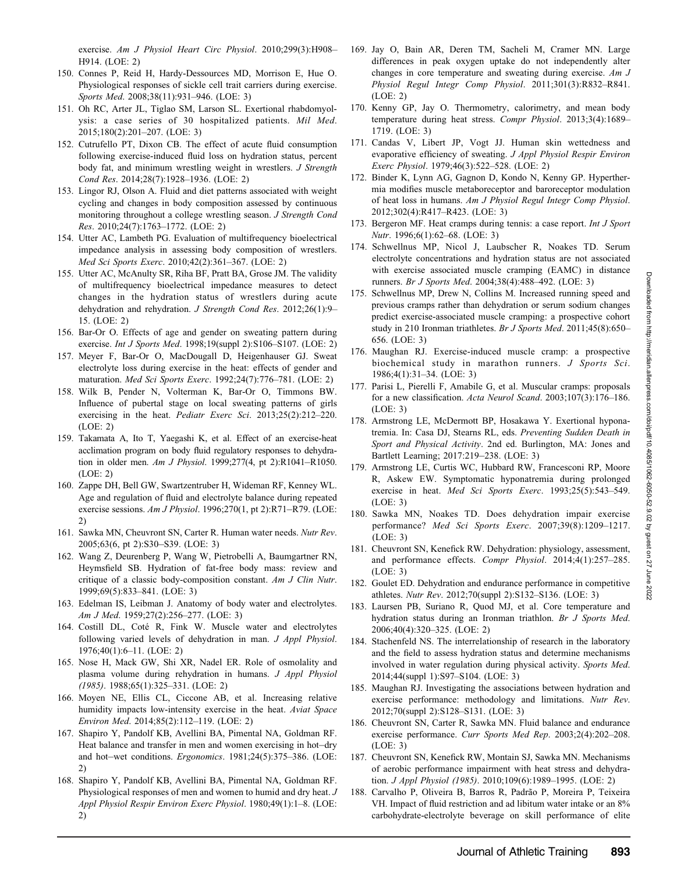- 150. Connes P, Reid H, Hardy-Dessources MD, Morrison E, Hue O. Physiological responses of sickle cell trait carriers during exercise. Sports Med. 2008;38(11):931–946. (LOE: 3)
- 151. Oh RC, Arter JL, Tiglao SM, Larson SL. Exertional rhabdomyolysis: a case series of 30 hospitalized patients. Mil Med. 2015;180(2):201–207. (LOE: 3)
- 152. Cutrufello PT, Dixon CB. The effect of acute fluid consumption following exercise-induced fluid loss on hydration status, percent body fat, and minimum wrestling weight in wrestlers. J Strength Cond Res. 2014;28(7):1928–1936. (LOE: 2)
- 153. Lingor RJ, Olson A. Fluid and diet patterns associated with weight cycling and changes in body composition assessed by continuous monitoring throughout a college wrestling season. J Strength Cond Res. 2010;24(7):1763–1772. (LOE: 2)
- 154. Utter AC, Lambeth PG. Evaluation of multifrequency bioelectrical impedance analysis in assessing body composition of wrestlers. Med Sci Sports Exerc. 2010;42(2):361–367. (LOE: 2)
- 155. Utter AC, McAnulty SR, Riha BF, Pratt BA, Grose JM. The validity of multifrequency bioelectrical impedance measures to detect changes in the hydration status of wrestlers during acute dehydration and rehydration. J Strength Cond Res. 2012;26(1):9– 15. (LOE: 2)
- 156. Bar-Or O. Effects of age and gender on sweating pattern during exercise. Int J Sports Med. 1998;19(suppl 2):S106–S107. (LOE: 2)
- 157. Meyer F, Bar-Or O, MacDougall D, Heigenhauser GJ. Sweat electrolyte loss during exercise in the heat: effects of gender and maturation. Med Sci Sports Exerc. 1992;24(7):776–781. (LOE: 2)
- 158. Wilk B, Pender N, Volterman K, Bar-Or O, Timmons BW. Influence of pubertal stage on local sweating patterns of girls exercising in the heat. *Pediatr Exerc Sci.* 2013;25(2):212–220. (LOE: 2)
- 159. Takamata A, Ito T, Yaegashi K, et al. Effect of an exercise-heat acclimation program on body fluid regulatory responses to dehydration in older men. Am J Physiol. 1999;277(4, pt 2):R1041-R1050. (LOE: 2)
- 160. Zappe DH, Bell GW, Swartzentruber H, Wideman RF, Kenney WL. Age and regulation of fluid and electrolyte balance during repeated exercise sessions. Am J Physiol. 1996;270(1, pt 2):R71-R79. (LOE: 2)
- 161. Sawka MN, Cheuvront SN, Carter R. Human water needs. Nutr Rev. 2005;63(6, pt 2):S30-S39. (LOE: 3)
- 162. Wang Z, Deurenberg P, Wang W, Pietrobelli A, Baumgartner RN, Heymsfield SB. Hydration of fat-free body mass: review and critique of a classic body-composition constant. Am J Clin Nutr. 1999;69(5):833–841. (LOE: 3)
- 163. Edelman IS, Leibman J. Anatomy of body water and electrolytes. Am J Med. 1959;27(2):256–277. (LOE: 3)
- 164. Costill DL, Coté R, Fink W. Muscle water and electrolytes following varied levels of dehydration in man. *J Appl Physiol*. 1976;40(1):6–11. (LOE: 2)
- 165. Nose H, Mack GW, Shi XR, Nadel ER. Role of osmolality and plasma volume during rehydration in humans. J Appl Physiol (1985). 1988;65(1):325–331. (LOE: 2)
- 166. Moyen NE, Ellis CL, Ciccone AB, et al. Increasing relative humidity impacts low-intensity exercise in the heat. Aviat Space Environ Med. 2014;85(2):112–119. (LOE: 2)
- 167. Shapiro Y, Pandolf KB, Avellini BA, Pimental NA, Goldman RF. Heat balance and transfer in men and women exercising in hot-dry and hot-wet conditions. Ergonomics. 1981;24(5):375–386. (LOE: 2)
- 168. Shapiro Y, Pandolf KB, Avellini BA, Pimental NA, Goldman RF. Physiological responses of men and women to humid and dry heat. J Appl Physiol Respir Environ Exerc Physiol. 1980;49(1):1–8. (LOE: 2)
- 169. Jay O, Bain AR, Deren TM, Sacheli M, Cramer MN. Large differences in peak oxygen uptake do not independently alter changes in core temperature and sweating during exercise. Am J Physiol Regul Integr Comp Physiol. 2011;301(3):R832–R841. (LOE: 2)
- 170. Kenny GP, Jay O. Thermometry, calorimetry, and mean body temperature during heat stress. Compr Physiol. 2013;3(4):1689– 1719. (LOE: 3)
- 171. Candas V, Libert JP, Vogt JJ. Human skin wettedness and evaporative efficiency of sweating. J Appl Physiol Respir Environ Exerc Physiol. 1979;46(3):522–528. (LOE: 2)
- 172. Binder K, Lynn AG, Gagnon D, Kondo N, Kenny GP. Hyperthermia modifies muscle metaboreceptor and baroreceptor modulation of heat loss in humans. Am J Physiol Regul Integr Comp Physiol. 2012;302(4):R417–R423. (LOE: 3)
- 173. Bergeron MF. Heat cramps during tennis: a case report. Int J Sport Nutr. 1996;6(1):62–68. (LOE: 3)
- 174. Schwellnus MP, Nicol J, Laubscher R, Noakes TD. Serum electrolyte concentrations and hydration status are not associated with exercise associated muscle cramping (EAMC) in distance runners. Br J Sports Med. 2004;38(4):488–492. (LOE: 3)
- 175. Schwellnus MP, Drew N, Collins M. Increased running speed and previous cramps rather than dehydration or serum sodium changes predict exercise-associated muscle cramping: a prospective cohort study in 210 Ironman triathletes. Br J Sports Med. 2011;45(8):650– 656. (LOE: 3)
- 176. Maughan RJ. Exercise-induced muscle cramp: a prospective biochemical study in marathon runners. J Sports Sci. 1986;4(1):31–34. (LOE: 3)
- 177. Parisi L, Pierelli F, Amabile G, et al. Muscular cramps: proposals for a new classification. Acta Neurol Scand. 2003;107(3):176–186. (LOE: 3)
- 178. Armstrong LE, McDermott BP, Hosakawa Y. Exertional hyponatremia. In: Casa DJ, Stearns RL, eds. Preventing Sudden Death in Sport and Physical Activity. 2nd ed. Burlington, MA: Jones and Bartlett Learning; 2017:219-238. (LOE: 3)
- 179. Armstrong LE, Curtis WC, Hubbard RW, Francesconi RP, Moore R, Askew EW. Symptomatic hyponatremia during prolonged exercise in heat. Med Sci Sports Exerc. 1993;25(5):543–549. (LOE: 3)
- 180. Sawka MN, Noakes TD. Does dehydration impair exercise performance? Med Sci Sports Exerc. 2007;39(8):1209–1217. (LOE: 3)
- 181. Cheuvront SN, Kenefick RW. Dehydration: physiology, assessment, and performance effects. Compr Physiol. 2014;4(1):257–285. (LOE: 3)
- 182. Goulet ED. Dehydration and endurance performance in competitive athletes. Nutr Rev. 2012;70(suppl 2):S132–S136. (LOE: 3)
- 183. Laursen PB, Suriano R, Quod MJ, et al. Core temperature and hydration status during an Ironman triathlon. Br J Sports Med. 2006;40(4):320–325. (LOE: 2)
- 184. Stachenfeld NS. The interrelationship of research in the laboratory and the field to assess hydration status and determine mechanisms involved in water regulation during physical activity. Sports Med. 2014;44(suppl 1):S97–S104. (LOE: 3)
- 185. Maughan RJ. Investigating the associations between hydration and exercise performance: methodology and limitations. Nutr Rev. 2012;70(suppl 2):S128–S131. (LOE: 3)
- 186. Cheuvront SN, Carter R, Sawka MN. Fluid balance and endurance exercise performance. Curr Sports Med Rep. 2003;2(4):202–208. (LOE: 3)
- 187. Cheuvront SN, Kenefick RW, Montain SJ, Sawka MN. Mechanisms of aerobic performance impairment with heat stress and dehydration. J Appl Physiol (1985). 2010;109(6):1989–1995. (LOE: 2)
- 188. Carvalho P, Oliveira B, Barros R, Padrão P, Moreira P, Teixeira VH. Impact of fluid restriction and ad libitum water intake or an 8% carbohydrate-electrolyte beverage on skill performance of elite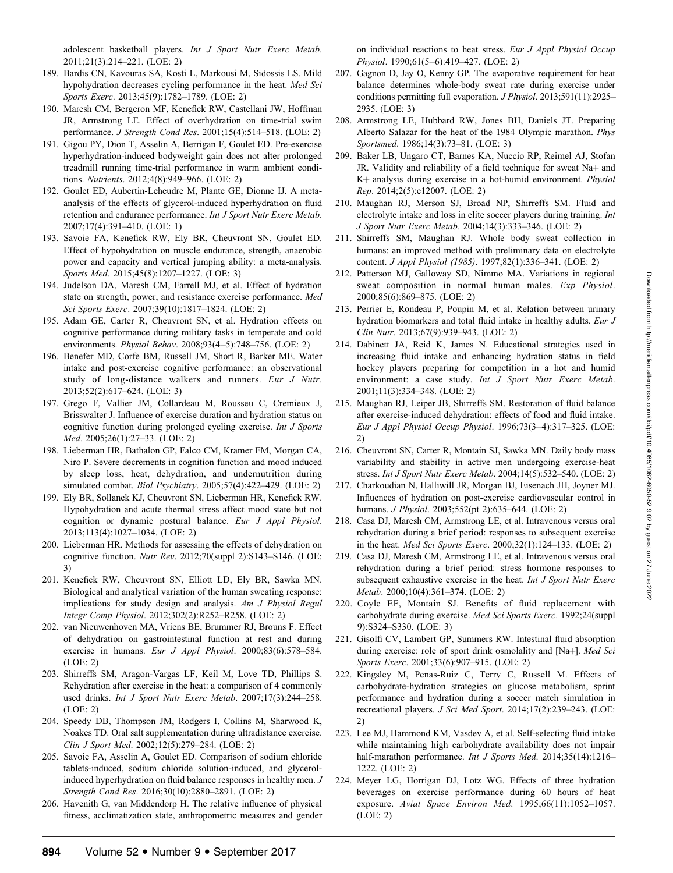adolescent basketball players. Int J Sport Nutr Exerc Metab. 2011;21(3):214–221. (LOE: 2)

- 189. Bardis CN, Kavouras SA, Kosti L, Markousi M, Sidossis LS. Mild hypohydration decreases cycling performance in the heat. Med Sci Sports Exerc. 2013;45(9):1782–1789. (LOE: 2)
- 190. Maresh CM, Bergeron MF, Kenefick RW, Castellani JW, Hoffman JR, Armstrong LE. Effect of overhydration on time-trial swim performance. J Strength Cond Res. 2001;15(4):514–518. (LOE: 2)
- 191. Gigou PY, Dion T, Asselin A, Berrigan F, Goulet ED. Pre-exercise hyperhydration-induced bodyweight gain does not alter prolonged treadmill running time-trial performance in warm ambient conditions. Nutrients. 2012;4(8):949–966. (LOE: 2)
- 192. Goulet ED, Aubertin-Leheudre M, Plante GE, Dionne IJ. A metaanalysis of the effects of glycerol-induced hyperhydration on fluid retention and endurance performance. Int J Sport Nutr Exerc Metab. 2007;17(4):391–410. (LOE: 1)
- 193. Savoie FA, Kenefick RW, Ely BR, Cheuvront SN, Goulet ED. Effect of hypohydration on muscle endurance, strength, anaerobic power and capacity and vertical jumping ability: a meta-analysis. Sports Med. 2015;45(8):1207–1227. (LOE: 3)
- 194. Judelson DA, Maresh CM, Farrell MJ, et al. Effect of hydration state on strength, power, and resistance exercise performance. Med Sci Sports Exerc. 2007;39(10):1817–1824. (LOE: 2)
- 195. Adam GE, Carter R, Cheuvront SN, et al. Hydration effects on cognitive performance during military tasks in temperate and cold environments. Physiol Behav. 2008;93(4-5):748-756. (LOE: 2)
- 196. Benefer MD, Corfe BM, Russell JM, Short R, Barker ME. Water intake and post-exercise cognitive performance: an observational study of long-distance walkers and runners. Eur J Nutr. 2013;52(2):617–624. (LOE: 3)
- 197. Grego F, Vallier JM, Collardeau M, Rousseu C, Cremieux J, Brisswalter J. Influence of exercise duration and hydration status on cognitive function during prolonged cycling exercise. Int J Sports Med. 2005;26(1):27–33. (LOE: 2)
- 198. Lieberman HR, Bathalon GP, Falco CM, Kramer FM, Morgan CA, Niro P. Severe decrements in cognition function and mood induced by sleep loss, heat, dehydration, and undernutrition during simulated combat. Biol Psychiatry. 2005;57(4):422–429. (LOE: 2)
- 199. Ely BR, Sollanek KJ, Cheuvront SN, Lieberman HR, Kenefick RW. Hypohydration and acute thermal stress affect mood state but not cognition or dynamic postural balance. Eur J Appl Physiol. 2013;113(4):1027–1034. (LOE: 2)
- 200. Lieberman HR. Methods for assessing the effects of dehydration on cognitive function. Nutr Rev. 2012;70(suppl 2):S143–S146. (LOE: 3)
- 201. Kenefick RW, Cheuvront SN, Elliott LD, Ely BR, Sawka MN. Biological and analytical variation of the human sweating response: implications for study design and analysis. Am J Physiol Regul Integr Comp Physiol. 2012;302(2):R252–R258. (LOE: 2)
- 202. van Nieuwenhoven MA, Vriens BE, Brummer RJ, Brouns F. Effect of dehydration on gastrointestinal function at rest and during exercise in humans. Eur J Appl Physiol. 2000;83(6):578–584. (LOE: 2)
- 203. Shirreffs SM, Aragon-Vargas LF, Keil M, Love TD, Phillips S. Rehydration after exercise in the heat: a comparison of 4 commonly used drinks. Int J Sport Nutr Exerc Metab. 2007;17(3):244-258. (LOE: 2)
- 204. Speedy DB, Thompson JM, Rodgers I, Collins M, Sharwood K, Noakes TD. Oral salt supplementation during ultradistance exercise. Clin J Sport Med. 2002;12(5):279–284. (LOE: 2)
- 205. Savoie FA, Asselin A, Goulet ED. Comparison of sodium chloride tablets-induced, sodium chloride solution-induced, and glycerolinduced hyperhydration on fluid balance responses in healthy men. J Strength Cond Res. 2016;30(10):2880–2891. (LOE: 2)
- 206. Havenith G, van Middendorp H. The relative influence of physical fitness, acclimatization state, anthropometric measures and gender

on individual reactions to heat stress. Eur J Appl Physiol Occup Physiol. 1990;61(5-6):419–427. (LOE: 2)

- 207. Gagnon D, Jay O, Kenny GP. The evaporative requirement for heat balance determines whole-body sweat rate during exercise under conditions permitting full evaporation. J Physiol. 2013;591(11):2925– 2935. (LOE: 3)
- 208. Armstrong LE, Hubbard RW, Jones BH, Daniels JT. Preparing Alberto Salazar for the heat of the 1984 Olympic marathon. Phys Sportsmed. 1986;14(3):73–81. (LOE: 3)
- 209. Baker LB, Ungaro CT, Barnes KA, Nuccio RP, Reimel AJ, Stofan JR. Validity and reliability of a field technique for sweat  $Na+$  and K+ analysis during exercise in a hot-humid environment. Physiol Rep. 2014;2(5):e12007. (LOE: 2)
- 210. Maughan RJ, Merson SJ, Broad NP, Shirreffs SM. Fluid and electrolyte intake and loss in elite soccer players during training. Int J Sport Nutr Exerc Metab. 2004;14(3):333–346. (LOE: 2)
- 211. Shirreffs SM, Maughan RJ. Whole body sweat collection in humans: an improved method with preliminary data on electrolyte content. J Appl Physiol (1985). 1997;82(1):336–341. (LOE: 2)
- 212. Patterson MJ, Galloway SD, Nimmo MA. Variations in regional sweat composition in normal human males. Exp Physiol. 2000;85(6):869–875. (LOE: 2)
- 213. Perrier E, Rondeau P, Poupin M, et al. Relation between urinary hydration biomarkers and total fluid intake in healthy adults. Eur J Clin Nutr. 2013;67(9):939–943. (LOE: 2)
- 214. Dabinett JA, Reid K, James N. Educational strategies used in increasing fluid intake and enhancing hydration status in field hockey players preparing for competition in a hot and humid environment: a case study. Int J Sport Nutr Exerc Metab. 2001;11(3):334–348. (LOE: 2)
- 215. Maughan RJ, Leiper JB, Shirreffs SM. Restoration of fluid balance after exercise-induced dehydration: effects of food and fluid intake. Eur J Appl Physiol Occup Physiol. 1996;73(3-4):317–325. (LOE: 2)
- 216. Cheuvront SN, Carter R, Montain SJ, Sawka MN. Daily body mass variability and stability in active men undergoing exercise-heat stress. Int J Sport Nutr Exerc Metab. 2004;14(5):532–540. (LOE: 2)
- 217. Charkoudian N, Halliwill JR, Morgan BJ, Eisenach JH, Joyner MJ. Influences of hydration on post-exercise cardiovascular control in humans. J Physiol. 2003;552(pt 2):635–644. (LOE: 2)
- 218. Casa DJ, Maresh CM, Armstrong LE, et al. Intravenous versus oral rehydration during a brief period: responses to subsequent exercise in the heat. Med Sci Sports Exerc. 2000;32(1):124–133. (LOE: 2)
- 219. Casa DJ, Maresh CM, Armstrong LE, et al. Intravenous versus oral rehydration during a brief period: stress hormone responses to subsequent exhaustive exercise in the heat. Int J Sport Nutr Exerc Metab. 2000;10(4):361–374. (LOE: 2)
- 220. Coyle EF, Montain SJ. Benefits of fluid replacement with carbohydrate during exercise. Med Sci Sports Exerc. 1992;24(suppl 9):S324–S330. (LOE: 3)
- 221. Gisolfi CV, Lambert GP, Summers RW. Intestinal fluid absorption during exercise: role of sport drink osmolality and  $[Na+]$ . *Med Sci* Sports Exerc. 2001;33(6):907–915. (LOE: 2)
- 222. Kingsley M, Penas-Ruiz C, Terry C, Russell M. Effects of carbohydrate-hydration strategies on glucose metabolism, sprint performance and hydration during a soccer match simulation in recreational players. J Sci Med Sport. 2014;17(2):239–243. (LOE: 2)
- 223. Lee MJ, Hammond KM, Vasdev A, et al. Self-selecting fluid intake while maintaining high carbohydrate availability does not impair half-marathon performance. Int J Sports Med. 2014;35(14):1216-1222. (LOE: 2)
- 224. Meyer LG, Horrigan DJ, Lotz WG. Effects of three hydration beverages on exercise performance during 60 hours of heat exposure. Aviat Space Environ Med. 1995;66(11):1052–1057. (LOE: 2)